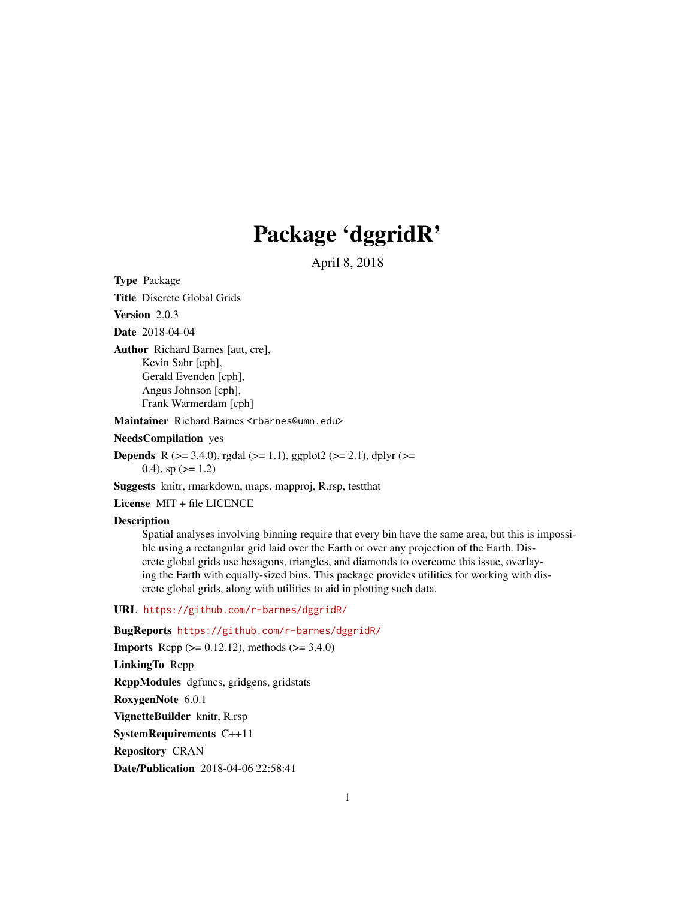# Package 'dggridR'

April 8, 2018

Type Package

Title Discrete Global Grids

Version 2.0.3

Date 2018-04-04

Author Richard Barnes [aut, cre], Kevin Sahr [cph], Gerald Evenden [cph], Angus Johnson [cph], Frank Warmerdam [cph]

Maintainer Richard Barnes <rbarnes@umn.edu>

NeedsCompilation yes

**Depends** R ( $>= 3.4.0$ ), rgdal ( $>= 1.1$ ), ggplot2 ( $>= 2.1$ ), dplyr ( $>= 1.1$ ) 0.4), sp  $(>= 1.2)$ 

Suggests knitr, rmarkdown, maps, mapproj, R.rsp, testthat

License MIT + file LICENCE

#### **Description**

Spatial analyses involving binning require that every bin have the same area, but this is impossible using a rectangular grid laid over the Earth or over any projection of the Earth. Discrete global grids use hexagons, triangles, and diamonds to overcome this issue, overlaying the Earth with equally-sized bins. This package provides utilities for working with discrete global grids, along with utilities to aid in plotting such data.

# URL <https://github.com/r-barnes/dggridR/>

BugReports <https://github.com/r-barnes/dggridR/> **Imports** Rcpp ( $>= 0.12.12$ ), methods ( $>= 3.4.0$ ) LinkingTo Rcpp RcppModules dgfuncs, gridgens, gridstats RoxygenNote 6.0.1 VignetteBuilder knitr, R.rsp SystemRequirements C++11 Repository CRAN Date/Publication 2018-04-06 22:58:41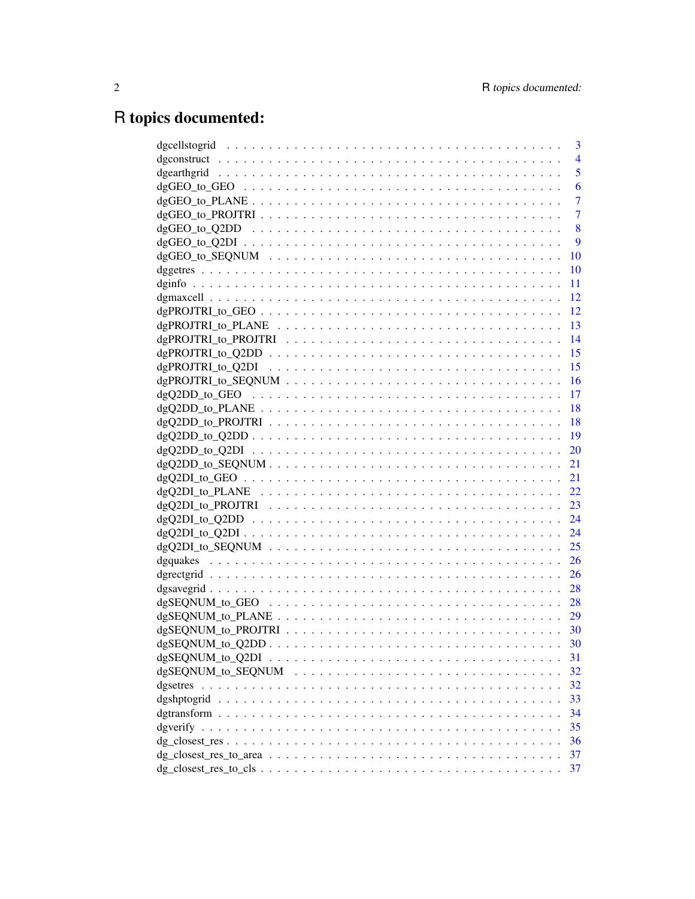# R topics documented:

|                                                                                                                  | 3              |
|------------------------------------------------------------------------------------------------------------------|----------------|
|                                                                                                                  | $\overline{4}$ |
|                                                                                                                  | 5              |
|                                                                                                                  | 6              |
|                                                                                                                  | 7              |
|                                                                                                                  | $\overline{7}$ |
|                                                                                                                  | 8              |
|                                                                                                                  | 9              |
|                                                                                                                  | 10             |
|                                                                                                                  | 10             |
|                                                                                                                  | 11             |
|                                                                                                                  | -12            |
|                                                                                                                  |                |
|                                                                                                                  |                |
|                                                                                                                  |                |
|                                                                                                                  |                |
|                                                                                                                  |                |
| $dgPROJTRI_to_SEQNUM \dots \dots \dots \dots \dots \dots \dots \dots \dots \dots \dots \dots \dots \dots$        |                |
|                                                                                                                  |                |
|                                                                                                                  |                |
|                                                                                                                  |                |
|                                                                                                                  |                |
|                                                                                                                  |                |
|                                                                                                                  | 21             |
|                                                                                                                  | 21             |
|                                                                                                                  | 22             |
|                                                                                                                  |                |
|                                                                                                                  |                |
|                                                                                                                  | 24             |
|                                                                                                                  | 25             |
|                                                                                                                  | 26             |
|                                                                                                                  | 26             |
|                                                                                                                  |                |
|                                                                                                                  |                |
| $dg$ SEQNUM_to_PLANE $\dots \dots \dots \dots \dots \dots \dots \dots \dots \dots \dots \dots \dots \dots \dots$ |                |
|                                                                                                                  |                |
|                                                                                                                  | 30             |
|                                                                                                                  | 31             |
| $dg$ SEQNUM_to_SEQNUM $\ldots \ldots \ldots \ldots \ldots \ldots \ldots \ldots$                                  | 32             |
|                                                                                                                  | 32             |
|                                                                                                                  | 33             |
|                                                                                                                  | 34             |
|                                                                                                                  | 35             |
|                                                                                                                  | 36             |
|                                                                                                                  | 37             |
|                                                                                                                  | 37             |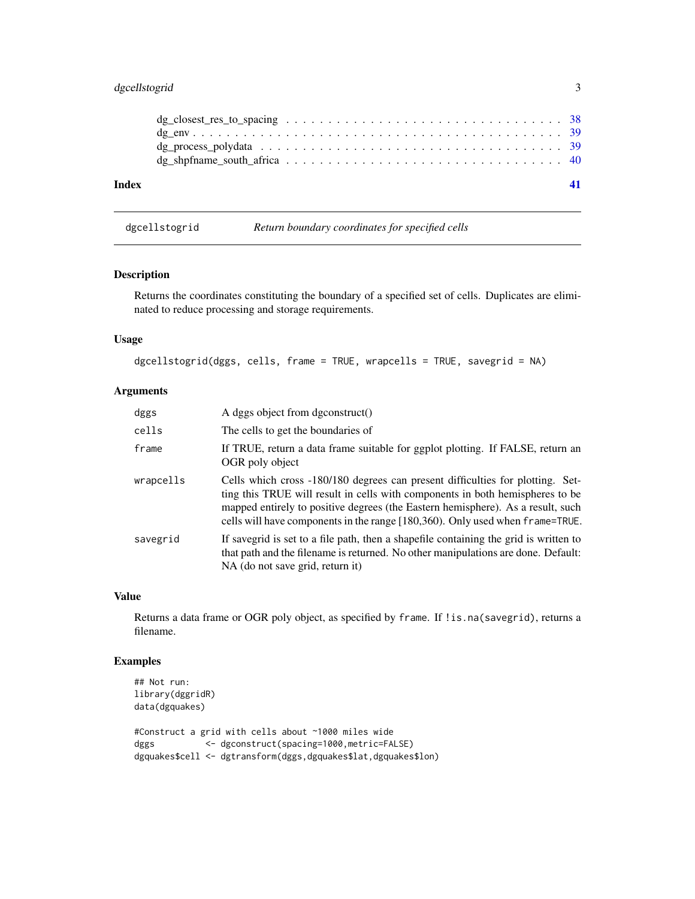# <span id="page-2-0"></span>dgcellstogrid 3

dgcellstogrid *Return boundary coordinates for specified cells*

# Description

Returns the coordinates constituting the boundary of a specified set of cells. Duplicates are eliminated to reduce processing and storage requirements.

#### Usage

```
dgcellstogrid(dggs, cells, frame = TRUE, wrapcells = TRUE, savegrid = NA)
```
# Arguments

| dggs      | A dggs object from dgconstruct()                                                                                                                                                                                                                                                                                                    |
|-----------|-------------------------------------------------------------------------------------------------------------------------------------------------------------------------------------------------------------------------------------------------------------------------------------------------------------------------------------|
| cells     | The cells to get the boundaries of                                                                                                                                                                                                                                                                                                  |
| frame     | If TRUE, return a data frame suitable for ggplot plotting. If FALSE, return an<br>OGR poly object                                                                                                                                                                                                                                   |
| wrapcells | Cells which cross -180/180 degrees can present difficulties for plotting. Set-<br>ting this TRUE will result in cells with components in both hemispheres to be<br>mapped entirely to positive degrees (the Eastern hemisphere). As a result, such<br>cells will have components in the range [180,360). Only used when frame=TRUE. |
| savegrid  | If savegrid is set to a file path, then a shapefile containing the grid is written to<br>that path and the filename is returned. No other manipulations are done. Default:<br>NA (do not save grid, return it)                                                                                                                      |

#### Value

Returns a data frame or OGR poly object, as specified by frame. If ! is.na(savegrid), returns a filename.

```
## Not run:
library(dggridR)
data(dgquakes)
```

```
#Construct a grid with cells about ~1000 miles wide
dggs <- dgconstruct(spacing=1000,metric=FALSE)
dgquakes$cell <- dgtransform(dggs,dgquakes$lat,dgquakes$lon)
```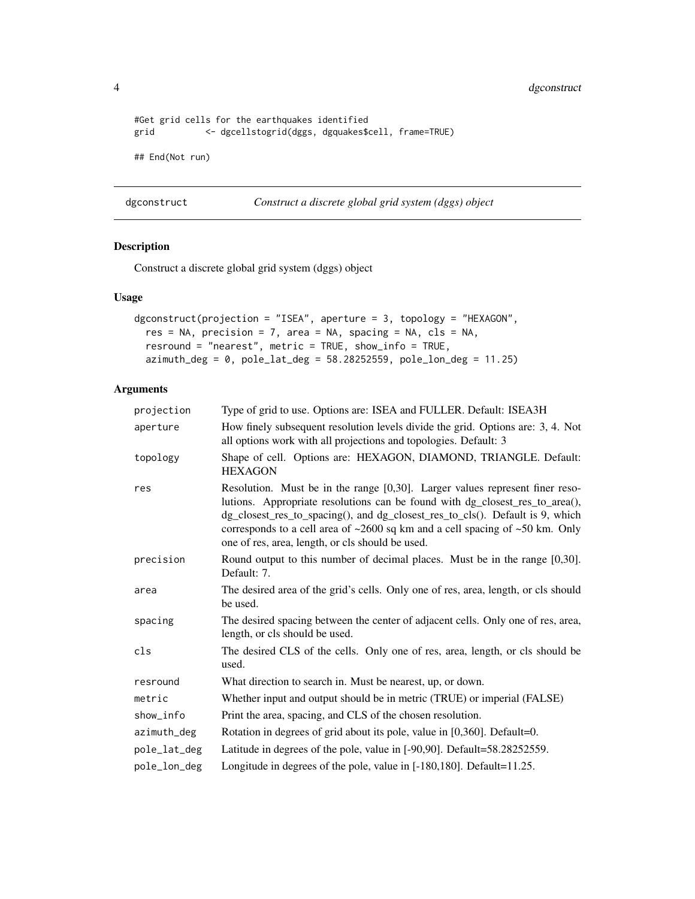<span id="page-3-0"></span>4 dgconstruct

```
#Get grid cells for the earthquakes identified
grid <- dgcellstogrid(dggs, dgquakes$cell, frame=TRUE)
## End(Not run)
```
dgconstruct *Construct a discrete global grid system (dggs) object*

# Description

Construct a discrete global grid system (dggs) object

# Usage

```
dgconstruct(projection = "ISEA", aperture = 3, topology = "HEXAGON",
  res = NA, precision = 7, area = NA, spacing = NA, cls = NA,
 resround = "nearest", metric = TRUE, show_info = TRUE,
  azimuth_deg = 0, pole_lat_deg = 58.28252559, pole_lon_deg = 11.25)
```
# Arguments

| Type of grid to use. Options are: ISEA and FULLER. Default: ISEA3H                                                                                                                                                                                                                                                                                                                            |
|-----------------------------------------------------------------------------------------------------------------------------------------------------------------------------------------------------------------------------------------------------------------------------------------------------------------------------------------------------------------------------------------------|
| How finely subsequent resolution levels divide the grid. Options are: 3, 4. Not<br>all options work with all projections and topologies. Default: 3                                                                                                                                                                                                                                           |
| Shape of cell. Options are: HEXAGON, DIAMOND, TRIANGLE. Default:<br><b>HEXAGON</b>                                                                                                                                                                                                                                                                                                            |
| Resolution. Must be in the range [0,30]. Larger values represent finer reso-<br>lutions. Appropriate resolutions can be found with dg_closest_res_to_area(),<br>dg_closest_res_to_spacing(), and dg_closest_res_to_cls(). Default is 9, which<br>corresponds to a cell area of $\sim$ 2600 sq km and a cell spacing of $\sim$ 50 km. Only<br>one of res, area, length, or cls should be used. |
| Round output to this number of decimal places. Must be in the range [0,30].<br>Default: 7.                                                                                                                                                                                                                                                                                                    |
| The desired area of the grid's cells. Only one of res, area, length, or cls should<br>be used.                                                                                                                                                                                                                                                                                                |
| The desired spacing between the center of adjacent cells. Only one of res, area,<br>length, or cls should be used.                                                                                                                                                                                                                                                                            |
| The desired CLS of the cells. Only one of res, area, length, or cls should be<br>used.                                                                                                                                                                                                                                                                                                        |
| What direction to search in. Must be nearest, up, or down.                                                                                                                                                                                                                                                                                                                                    |
| Whether input and output should be in metric (TRUE) or imperial (FALSE)                                                                                                                                                                                                                                                                                                                       |
| Print the area, spacing, and CLS of the chosen resolution.                                                                                                                                                                                                                                                                                                                                    |
| Rotation in degrees of grid about its pole, value in [0,360]. Default=0.                                                                                                                                                                                                                                                                                                                      |
| Latitude in degrees of the pole, value in [-90,90]. Default=58.28252559.                                                                                                                                                                                                                                                                                                                      |
| Longitude in degrees of the pole, value in [-180,180]. Default=11.25.                                                                                                                                                                                                                                                                                                                         |
|                                                                                                                                                                                                                                                                                                                                                                                               |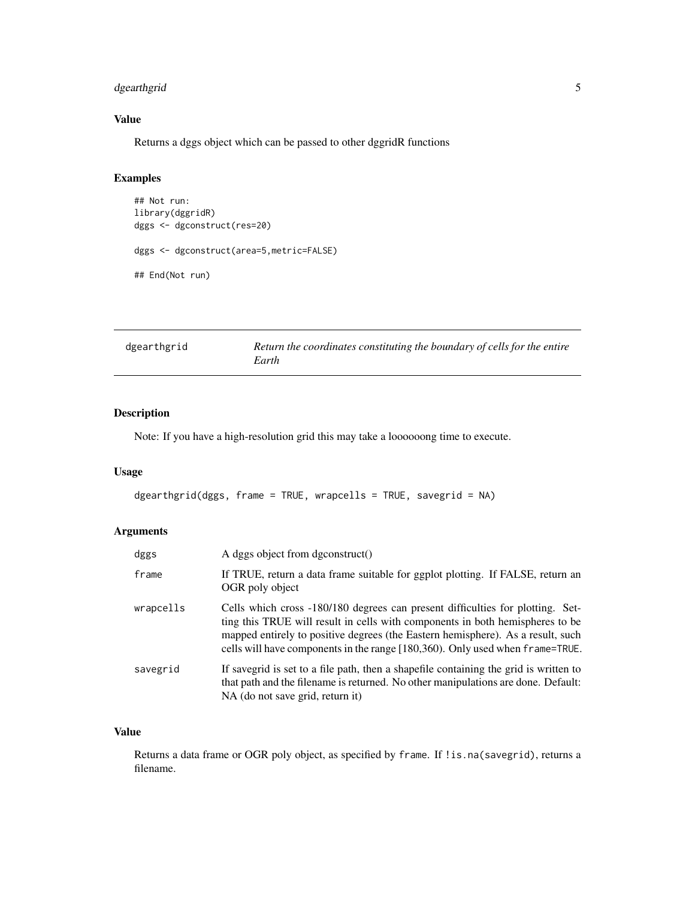# <span id="page-4-0"></span>dgearthgrid 5

# Value

Returns a dggs object which can be passed to other dggridR functions

#### Examples

```
## Not run:
library(dggridR)
dggs <- dgconstruct(res=20)
dggs <- dgconstruct(area=5,metric=FALSE)
## End(Not run)
```

| dgearthgrid | Return the coordinates constituting the boundary of cells for the entire |
|-------------|--------------------------------------------------------------------------|
|             | Earth                                                                    |

# Description

Note: If you have a high-resolution grid this may take a loooooong time to execute.

# Usage

```
dgearthgrid(dggs, frame = TRUE, wrapcells = TRUE, savegrid = NA)
```
#### Arguments

| dggs      | A dggs object from dgconstruct()                                                                                                                                                                                                                                                                                                    |
|-----------|-------------------------------------------------------------------------------------------------------------------------------------------------------------------------------------------------------------------------------------------------------------------------------------------------------------------------------------|
| frame     | If TRUE, return a data frame suitable for ggplot plotting. If FALSE, return an<br>OGR poly object                                                                                                                                                                                                                                   |
| wrapcells | Cells which cross -180/180 degrees can present difficulties for plotting. Set-<br>ting this TRUE will result in cells with components in both hemispheres to be<br>mapped entirely to positive degrees (the Eastern hemisphere). As a result, such<br>cells will have components in the range [180,360). Only used when frame=TRUE. |
| savegrid  | If savegrid is set to a file path, then a shapefile containing the grid is written to<br>that path and the filename is returned. No other manipulations are done. Default:<br>NA (do not save grid, return it)                                                                                                                      |

# Value

Returns a data frame or OGR poly object, as specified by frame. If ! is.na(savegrid), returns a filename.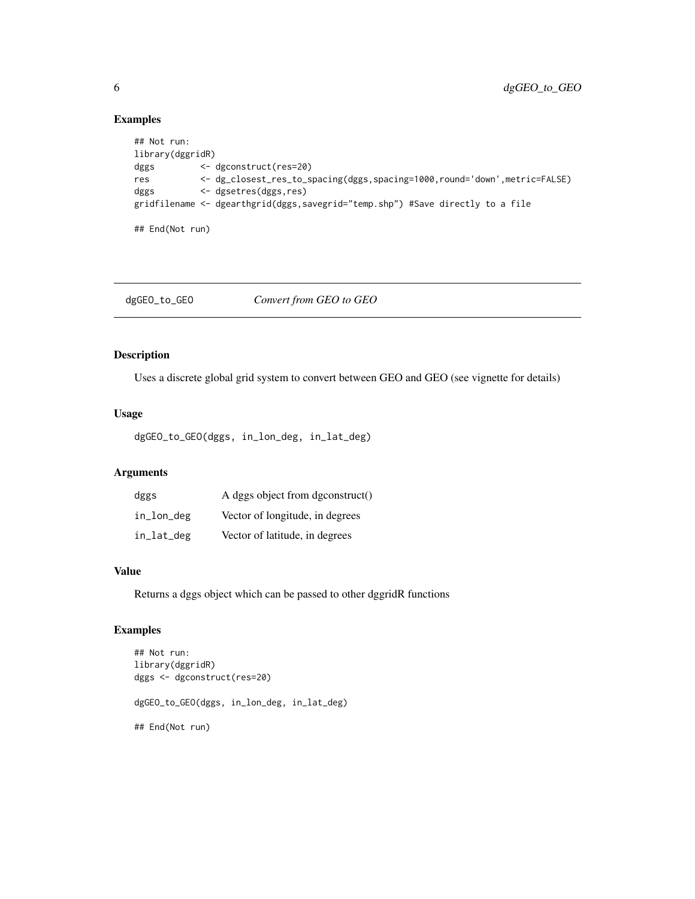#### Examples

```
## Not run:
library(dggridR)
dggs <- dgconstruct(res=20)
res <- dg_closest_res_to_spacing(dggs,spacing=1000,round='down',metric=FALSE)
dggs <- dgsetres(dggs,res)
gridfilename <- dgearthgrid(dggs,savegrid="temp.shp") #Save directly to a file
## End(Not run)
```
dgGEO\_to\_GEO *Convert from GEO to GEO*

# Description

Uses a discrete global grid system to convert between GEO and GEO (see vignette for details)

#### Usage

```
dgGEO_to_GEO(dggs, in_lon_deg, in_lat_deg)
```
#### Arguments

| dggs       | A dggs object from dgconstruct() |
|------------|----------------------------------|
| in_lon_deg | Vector of longitude, in degrees  |
| in_lat_deg | Vector of latitude, in degrees   |

#### Value

Returns a dggs object which can be passed to other dggridR functions

```
## Not run:
library(dggridR)
dggs <- dgconstruct(res=20)
dgGEO_to_GEO(dggs, in_lon_deg, in_lat_deg)
## End(Not run)
```
<span id="page-5-0"></span>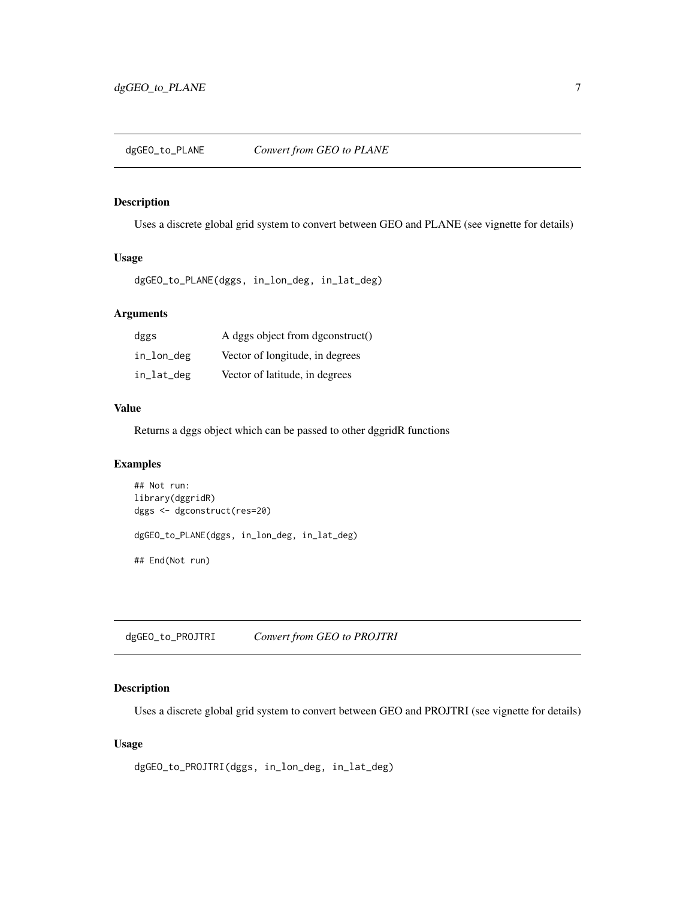<span id="page-6-0"></span>dgGEO\_to\_PLANE *Convert from GEO to PLANE*

#### Description

Uses a discrete global grid system to convert between GEO and PLANE (see vignette for details)

#### Usage

dgGEO\_to\_PLANE(dggs, in\_lon\_deg, in\_lat\_deg)

#### Arguments

| dggs       | A dggs object from dgconstruct() |
|------------|----------------------------------|
| in_lon_deg | Vector of longitude, in degrees  |
| in_lat_deg | Vector of latitude, in degrees   |

#### Value

Returns a dggs object which can be passed to other dggridR functions

#### Examples

```
## Not run:
library(dggridR)
dggs <- dgconstruct(res=20)
dgGEO_to_PLANE(dggs, in_lon_deg, in_lat_deg)
## End(Not run)
```
dgGEO\_to\_PROJTRI *Convert from GEO to PROJTRI*

#### Description

Uses a discrete global grid system to convert between GEO and PROJTRI (see vignette for details)

```
dgGEO_to_PROJTRI(dggs, in_lon_deg, in_lat_deg)
```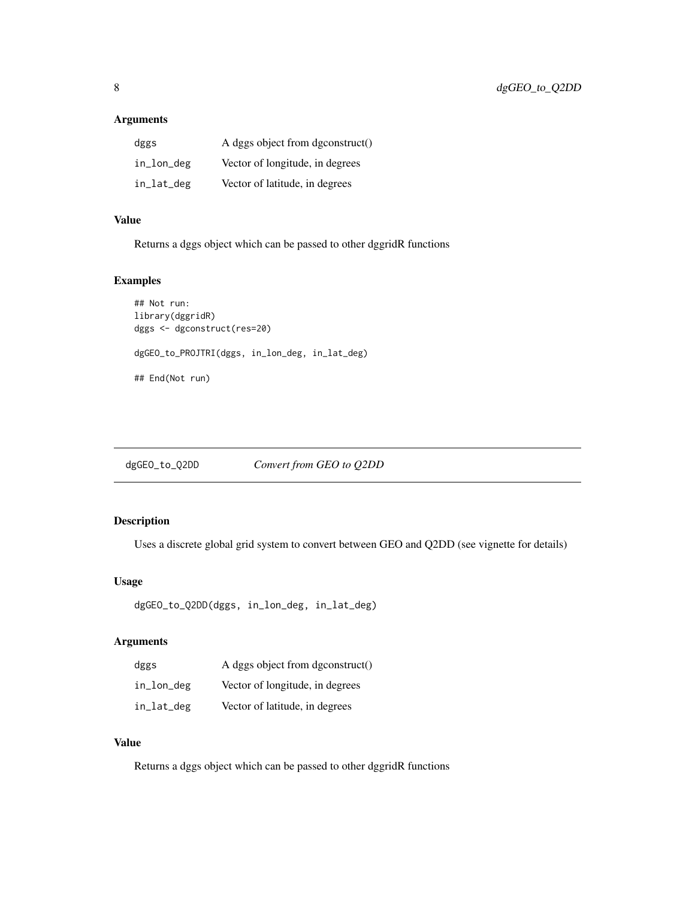<span id="page-7-0"></span>

| dggs       | A dggs object from dgconstruct() |
|------------|----------------------------------|
| in_lon_deg | Vector of longitude, in degrees  |
| in_lat_deg | Vector of latitude, in degrees   |

# Value

Returns a dggs object which can be passed to other dggridR functions

# Examples

```
## Not run:
library(dggridR)
dggs <- dgconstruct(res=20)
dgGEO_to_PROJTRI(dggs, in_lon_deg, in_lat_deg)
## End(Not run)
```
dgGEO\_to\_Q2DD *Convert from GEO to Q2DD*

# Description

Uses a discrete global grid system to convert between GEO and Q2DD (see vignette for details)

## Usage

```
dgGEO_to_Q2DD(dggs, in_lon_deg, in_lat_deg)
```
# Arguments

| dggs       | A dggs object from dgconstruct() |
|------------|----------------------------------|
| in_lon_deg | Vector of longitude, in degrees  |
| in_lat_deg | Vector of latitude, in degrees   |

# Value

Returns a dggs object which can be passed to other dggridR functions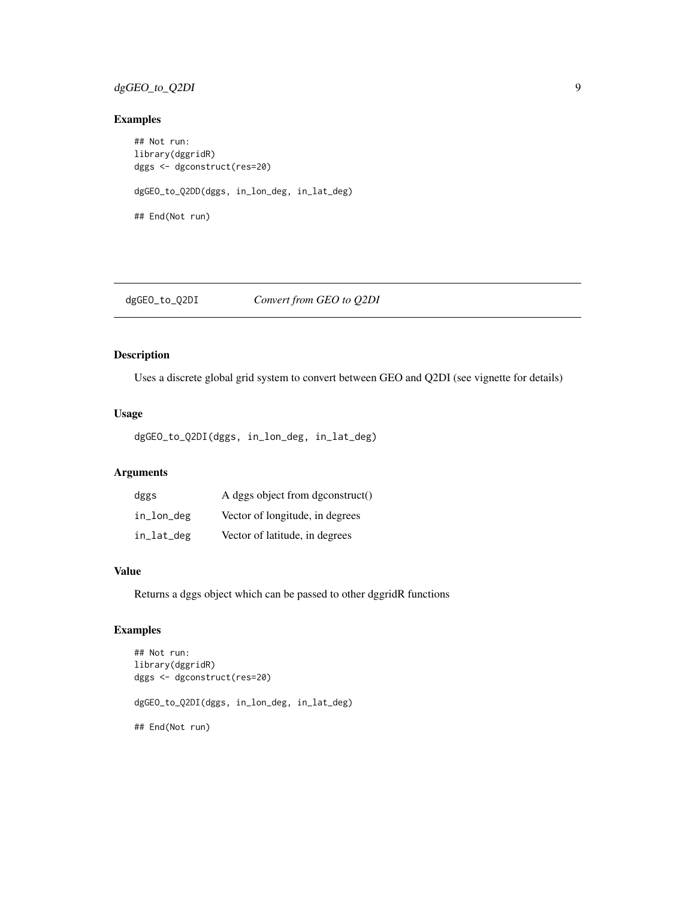# <span id="page-8-0"></span>dgGEO\_to\_Q2DI 9

#### Examples

```
## Not run:
library(dggridR)
dggs <- dgconstruct(res=20)
dgGEO_to_Q2DD(dggs, in_lon_deg, in_lat_deg)
## End(Not run)
```
dgGEO\_to\_Q2DI *Convert from GEO to Q2DI*

# Description

Uses a discrete global grid system to convert between GEO and Q2DI (see vignette for details)

# Usage

```
dgGEO_to_Q2DI(dggs, in_lon_deg, in_lat_deg)
```
# Arguments

| dggs       | A dggs object from dgconstruct() |
|------------|----------------------------------|
| in_lon_deg | Vector of longitude, in degrees  |
| in_lat_deg | Vector of latitude, in degrees   |

#### Value

Returns a dggs object which can be passed to other dggridR functions

```
## Not run:
library(dggridR)
dggs <- dgconstruct(res=20)
dgGEO_to_Q2DI(dggs, in_lon_deg, in_lat_deg)
## End(Not run)
```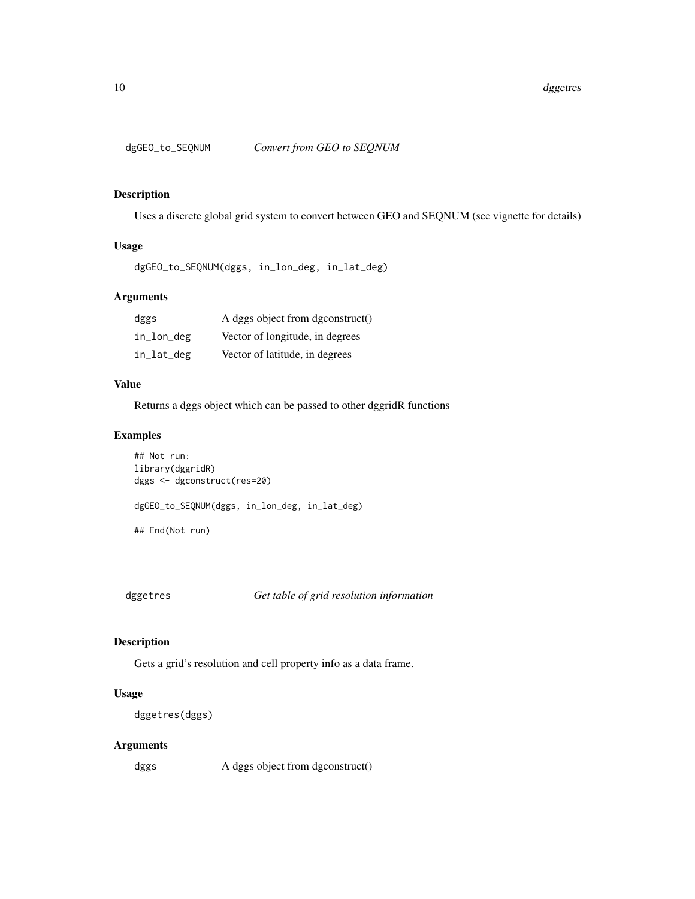<span id="page-9-0"></span>

#### Description

Uses a discrete global grid system to convert between GEO and SEQNUM (see vignette for details)

#### Usage

dgGEO\_to\_SEQNUM(dggs, in\_lon\_deg, in\_lat\_deg)

# Arguments

| dggs       | A dggs object from dgconstruct() |
|------------|----------------------------------|
| in_lon_deg | Vector of longitude, in degrees  |
| in_lat_deg | Vector of latitude, in degrees   |

#### Value

Returns a dggs object which can be passed to other dggridR functions

# Examples

```
## Not run:
library(dggridR)
dggs <- dgconstruct(res=20)
dgGEO_to_SEQNUM(dggs, in_lon_deg, in_lat_deg)
## End(Not run)
```
dggetres *Get table of grid resolution information*

# Description

Gets a grid's resolution and cell property info as a data frame.

## Usage

```
dggetres(dggs)
```
#### Arguments

dggs A dggs object from dgconstruct()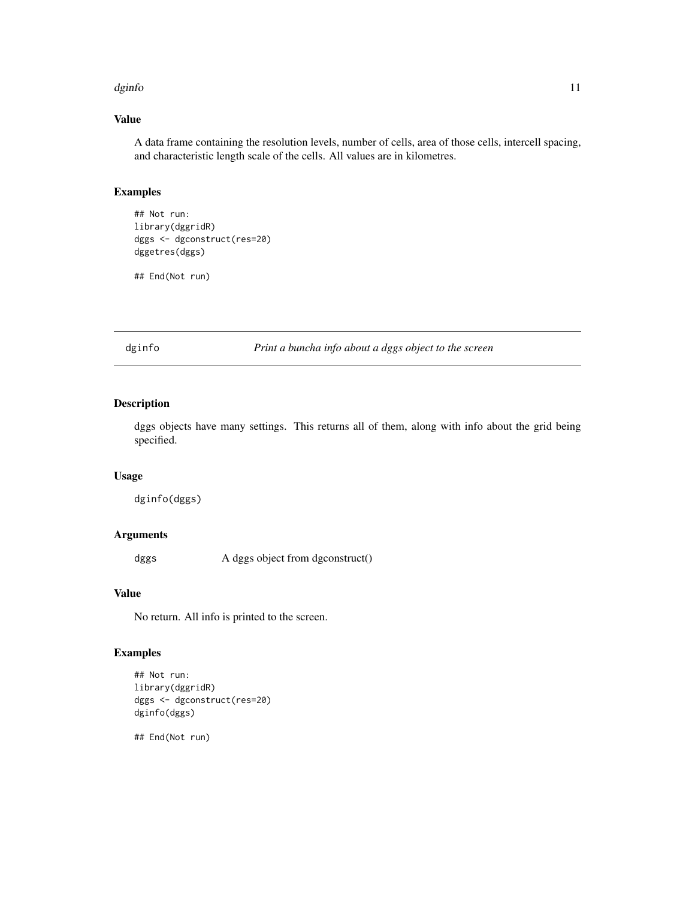#### <span id="page-10-0"></span>dginfo and 11 and 12 and 2012 12 and 2012 12 and 2012 12 and 2012 12 and 2012 12 and 2012 12 and 201

#### Value

A data frame containing the resolution levels, number of cells, area of those cells, intercell spacing, and characteristic length scale of the cells. All values are in kilometres.

#### Examples

```
## Not run:
library(dggridR)
dggs <- dgconstruct(res=20)
dggetres(dggs)
```
## End(Not run)

dginfo *Print a buncha info about a dggs object to the screen*

# Description

dggs objects have many settings. This returns all of them, along with info about the grid being specified.

#### Usage

dginfo(dggs)

#### Arguments

dggs A dggs object from dgconstruct()

#### Value

No return. All info is printed to the screen.

#### Examples

```
## Not run:
library(dggridR)
dggs <- dgconstruct(res=20)
dginfo(dggs)
```
## End(Not run)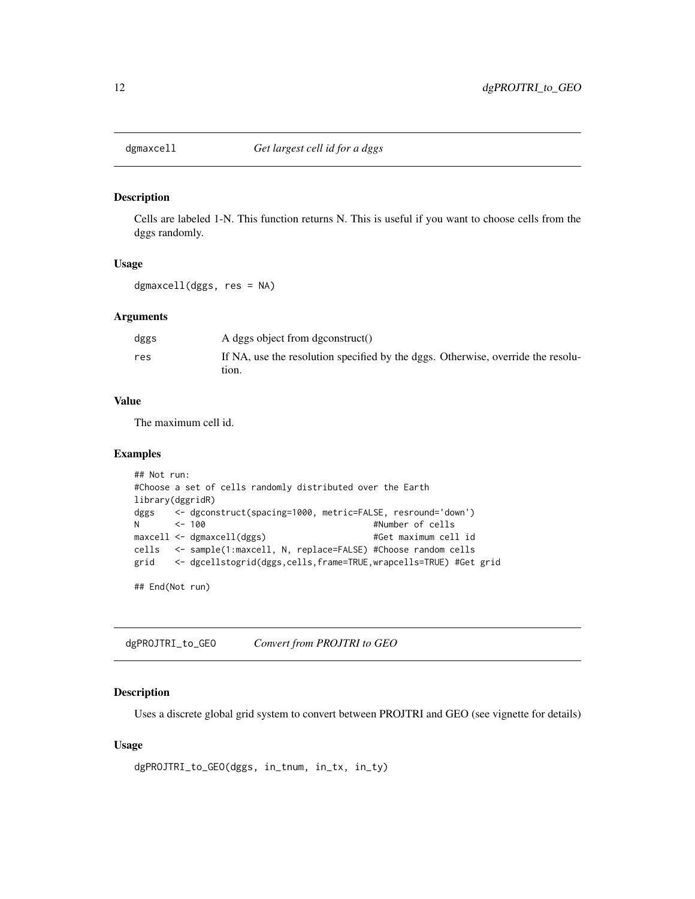<span id="page-11-0"></span>

#### Description

Cells are labeled 1-N. This function returns N. This is useful if you want to choose cells from the dggs randomly.

#### Usage

dgmaxcell(dggs, res = NA)

#### Arguments

| dggs | A dggs object from dgconstruct()                                                 |
|------|----------------------------------------------------------------------------------|
| res  | If NA, use the resolution specified by the dggs. Otherwise, override the resolu- |
|      | tion.                                                                            |

#### Value

The maximum cell id.

#### Examples

```
## Not run:
#Choose a set of cells randomly distributed over the Earth
library(dggridR)
dggs <- dgconstruct(spacing=1000, metric=FALSE, resround='down')
N <- 100 \le 100
maxcell <- dgmaxcell(dggs) #Get maximum cell id
cells <- sample(1:maxcell, N, replace=FALSE) #Choose random cells
grid <- dgcellstogrid(dggs,cells,frame=TRUE,wrapcells=TRUE) #Get grid
## End(Not run)
```
dgPROJTRI\_to\_GEO *Convert from PROJTRI to GEO*

# Description

Uses a discrete global grid system to convert between PROJTRI and GEO (see vignette for details)

```
dgPROJTRI_to_GEO(dggs, in_tnum, in_tx, in_ty)
```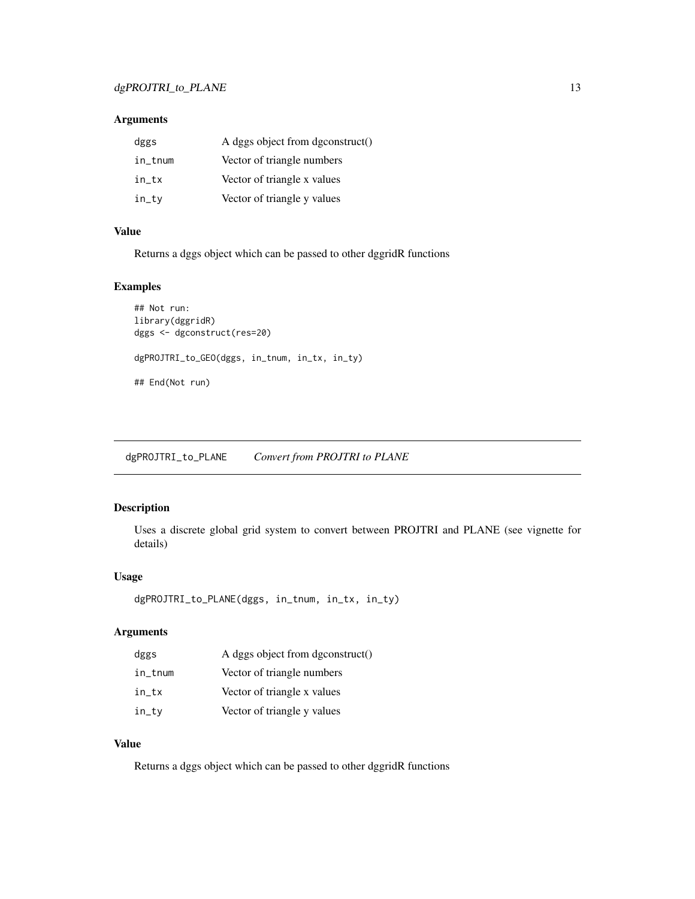<span id="page-12-0"></span>

| dggs       | A dggs object from dgconstruct() |
|------------|----------------------------------|
| $in\_tnum$ | Vector of triangle numbers       |
| $in\_tx$   | Vector of triangle x values      |
| in_ty      | Vector of triangle y values      |

#### Value

Returns a dggs object which can be passed to other dggridR functions

# Examples

```
## Not run:
library(dggridR)
dggs <- dgconstruct(res=20)
dgPROJTRI_to_GEO(dggs, in_tnum, in_tx, in_ty)
## End(Not run)
```
dgPROJTRI\_to\_PLANE *Convert from PROJTRI to PLANE*

#### Description

Uses a discrete global grid system to convert between PROJTRI and PLANE (see vignette for details)

#### Usage

```
dgPROJTRI_to_PLANE(dggs, in_tnum, in_tx, in_ty)
```
# Arguments

| dggs       | A dggs object from dgconstruct() |
|------------|----------------------------------|
| $in\_tnum$ | Vector of triangle numbers       |
| in tx      | Vector of triangle x values      |
| in_ty      | Vector of triangle y values      |

# Value

Returns a dggs object which can be passed to other dggridR functions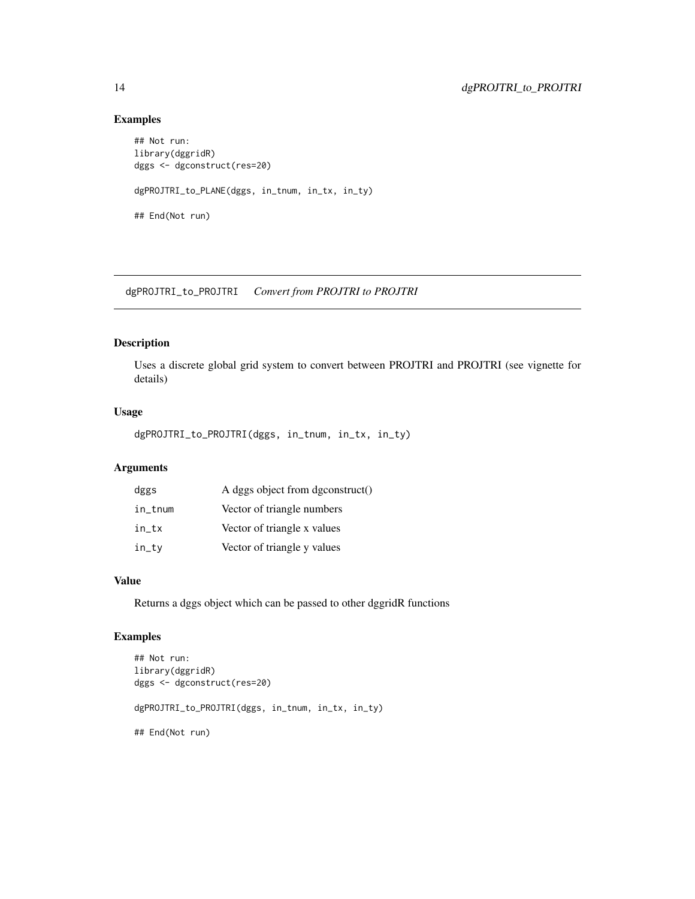#### Examples

```
## Not run:
library(dggridR)
dggs <- dgconstruct(res=20)
dgPROJTRI_to_PLANE(dggs, in_tnum, in_tx, in_ty)
## End(Not run)
```
dgPROJTRI\_to\_PROJTRI *Convert from PROJTRI to PROJTRI*

# Description

Uses a discrete global grid system to convert between PROJTRI and PROJTRI (see vignette for details)

# Usage

dgPROJTRI\_to\_PROJTRI(dggs, in\_tnum, in\_tx, in\_ty)

# Arguments

| dggs       | A dggs object from dgconstruct() |
|------------|----------------------------------|
| $in\_tnum$ | Vector of triangle numbers       |
| in_tx      | Vector of triangle x values      |
| in_ty      | Vector of triangle y values      |

## Value

Returns a dggs object which can be passed to other dggridR functions

```
## Not run:
library(dggridR)
dggs <- dgconstruct(res=20)
dgPROJTRI_to_PROJTRI(dggs, in_tnum, in_tx, in_ty)
## End(Not run)
```
<span id="page-13-0"></span>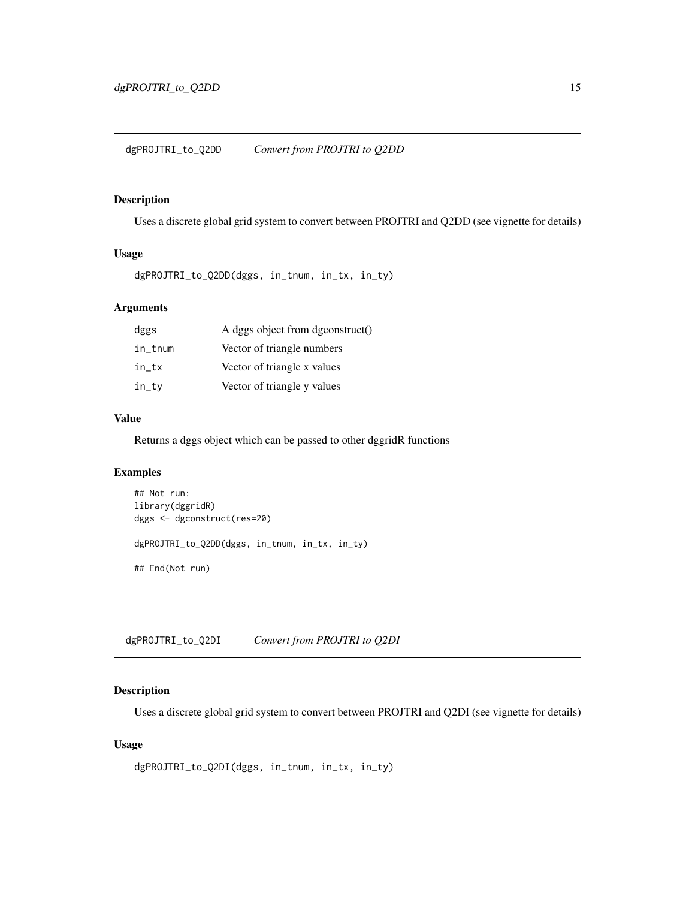# <span id="page-14-0"></span>Description

Uses a discrete global grid system to convert between PROJTRI and Q2DD (see vignette for details)

# Usage

dgPROJTRI\_to\_Q2DD(dggs, in\_tnum, in\_tx, in\_ty)

# Arguments

| dggs    | A dggs object from dgconstruct() |
|---------|----------------------------------|
| in_tnum | Vector of triangle numbers       |
| in tx   | Vector of triangle x values      |
| in_ty   | Vector of triangle y values      |

# Value

Returns a dggs object which can be passed to other dggridR functions

#### Examples

```
## Not run:
library(dggridR)
dggs <- dgconstruct(res=20)
dgPROJTRI_to_Q2DD(dggs, in_tnum, in_tx, in_ty)
## End(Not run)
```
dgPROJTRI\_to\_Q2DI *Convert from PROJTRI to Q2DI*

#### Description

Uses a discrete global grid system to convert between PROJTRI and Q2DI (see vignette for details)

```
dgPROJTRI_to_Q2DI(dggs, in_tnum, in_tx, in_ty)
```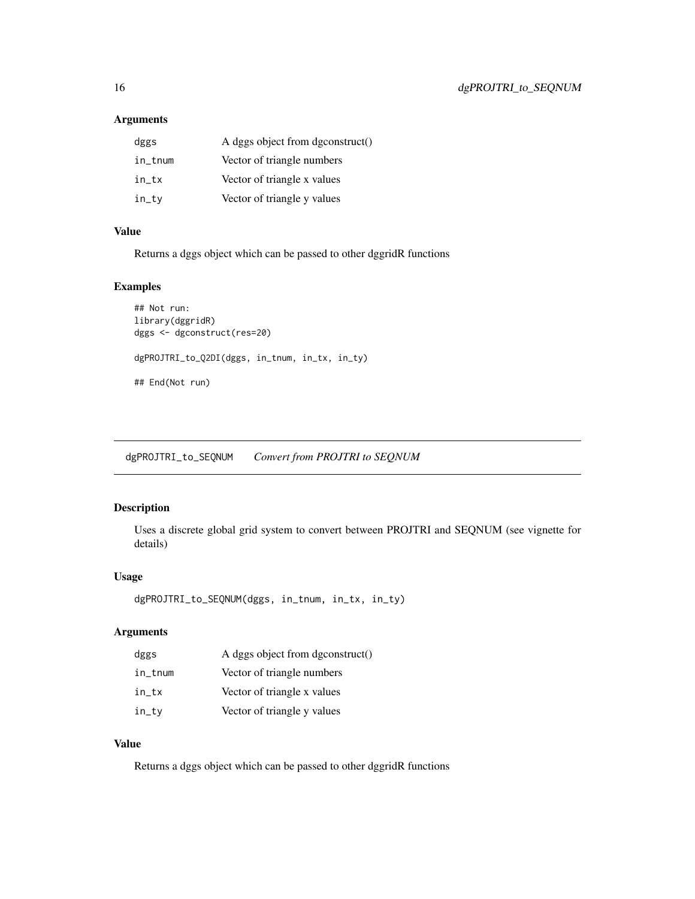<span id="page-15-0"></span>

| dggs       | A dggs object from dgconstruct() |
|------------|----------------------------------|
| $in\_tnum$ | Vector of triangle numbers       |
| in_tx      | Vector of triangle x values      |
| in_ty      | Vector of triangle y values      |

# Value

Returns a dggs object which can be passed to other dggridR functions

# Examples

```
## Not run:
library(dggridR)
dggs <- dgconstruct(res=20)
dgPROJTRI_to_Q2DI(dggs, in_tnum, in_tx, in_ty)
## End(Not run)
```
dgPROJTRI\_to\_SEQNUM *Convert from PROJTRI to SEQNUM*

# Description

Uses a discrete global grid system to convert between PROJTRI and SEQNUM (see vignette for details)

# Usage

```
dgPROJTRI_to_SEQNUM(dggs, in_tnum, in_tx, in_ty)
```
# Arguments

| dggs       | A dggs object from dgconstruct() |
|------------|----------------------------------|
| $in\_tnum$ | Vector of triangle numbers       |
| $in_t x$   | Vector of triangle x values      |
| in_ty      | Vector of triangle y values      |

# Value

Returns a dggs object which can be passed to other dggridR functions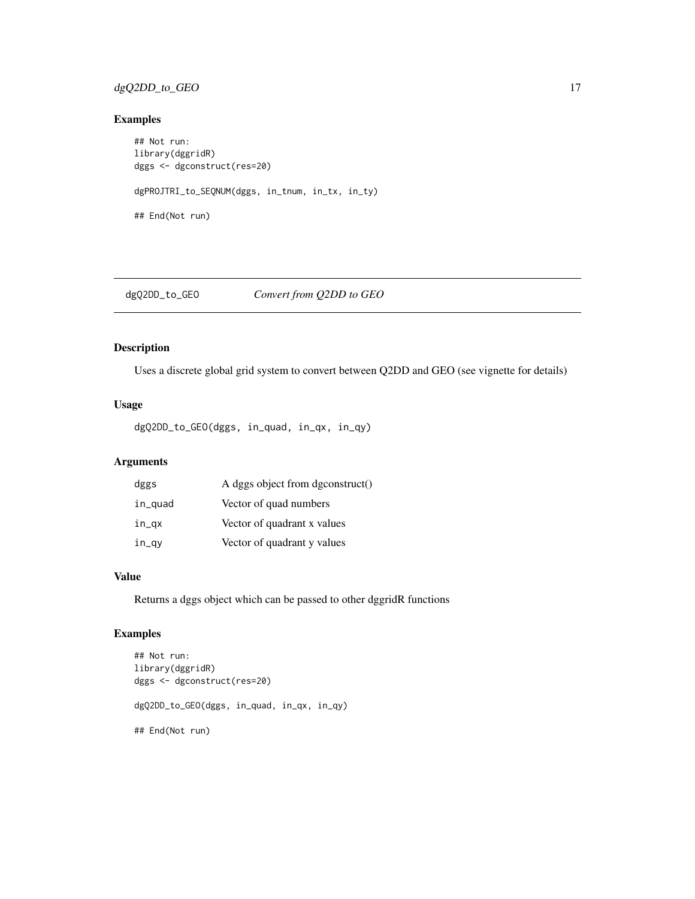# <span id="page-16-0"></span>dgQ2DD\_to\_GEO 17

#### Examples

```
## Not run:
library(dggridR)
dggs <- dgconstruct(res=20)
dgPROJTRI_to_SEQNUM(dggs, in_tnum, in_tx, in_ty)
## End(Not run)
```
dgQ2DD\_to\_GEO *Convert from Q2DD to GEO*

# Description

Uses a discrete global grid system to convert between Q2DD and GEO (see vignette for details)

# Usage

dgQ2DD\_to\_GEO(dggs, in\_quad, in\_qx, in\_qy)

# Arguments

| dggs    | A dggs object from dgconstruct() |
|---------|----------------------------------|
| in_quad | Vector of quad numbers           |
| in_qx   | Vector of quadrant x values      |
| in_qy   | Vector of quadrant y values      |

# Value

Returns a dggs object which can be passed to other dggridR functions

```
## Not run:
library(dggridR)
dggs <- dgconstruct(res=20)
dgQ2DD_to_GEO(dggs, in_quad, in_qx, in_qy)
## End(Not run)
```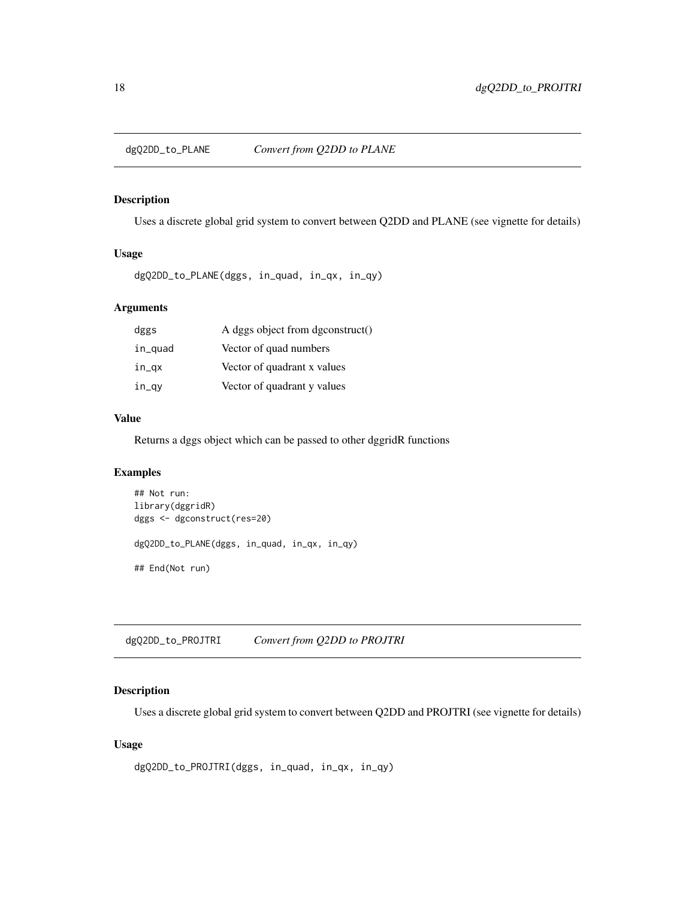<span id="page-17-0"></span>dgQ2DD\_to\_PLANE *Convert from Q2DD to PLANE*

# Description

Uses a discrete global grid system to convert between Q2DD and PLANE (see vignette for details)

# Usage

dgQ2DD\_to\_PLANE(dggs, in\_quad, in\_qx, in\_qy)

# Arguments

| dggs    | A dggs object from dgconstruct() |
|---------|----------------------------------|
| in_quad | Vector of quad numbers           |
| in_qx   | Vector of quadrant x values      |
| in_qy   | Vector of quadrant y values      |

# Value

Returns a dggs object which can be passed to other dggridR functions

# Examples

```
## Not run:
library(dggridR)
dggs <- dgconstruct(res=20)
dgQ2DD_to_PLANE(dggs, in_quad, in_qx, in_qy)
## End(Not run)
```
dgQ2DD\_to\_PROJTRI *Convert from Q2DD to PROJTRI*

#### Description

Uses a discrete global grid system to convert between Q2DD and PROJTRI (see vignette for details)

```
dgQ2DD_to_PROJTRI(dggs, in_quad, in_qx, in_qy)
```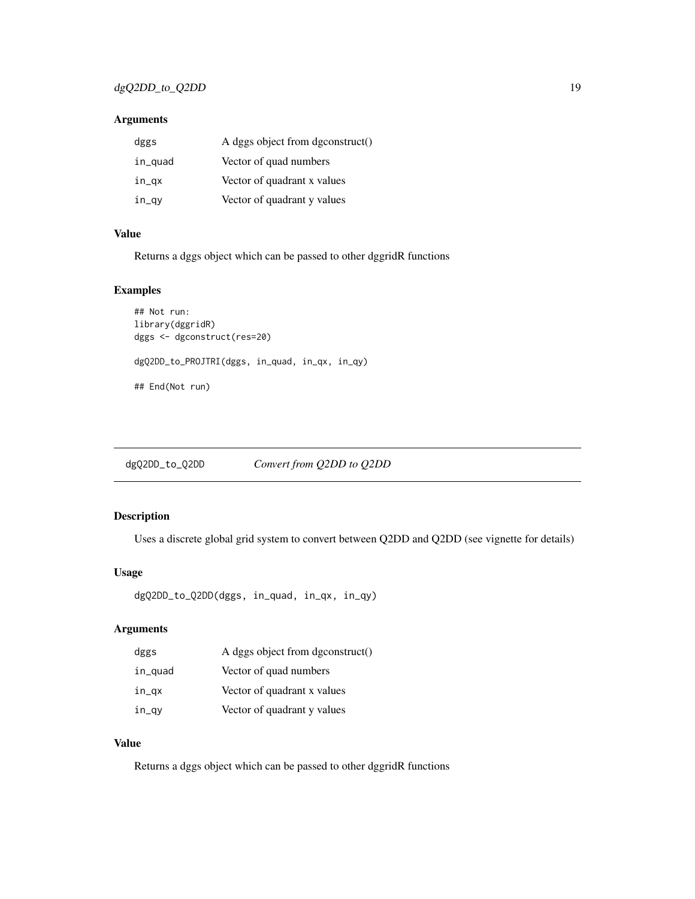<span id="page-18-0"></span>

| dggs    | A dggs object from dgconstruct() |
|---------|----------------------------------|
| in_quad | Vector of quad numbers           |
| in_qx   | Vector of quadrant x values      |
| in_qy   | Vector of quadrant y values      |

#### Value

Returns a dggs object which can be passed to other dggridR functions

# Examples

```
## Not run:
library(dggridR)
dggs <- dgconstruct(res=20)
dgQ2DD_to_PROJTRI(dggs, in_quad, in_qx, in_qy)
## End(Not run)
```
dgQ2DD\_to\_Q2DD *Convert from Q2DD to Q2DD*

# Description

Uses a discrete global grid system to convert between Q2DD and Q2DD (see vignette for details)

#### Usage

```
dgQ2DD_to_Q2DD(dggs, in_quad, in_qx, in_qy)
```
#### Arguments

| dggs    | A dggs object from dgconstruct() |
|---------|----------------------------------|
| in_quad | Vector of quad numbers           |
| in_qx   | Vector of quadrant x values      |
| in_qy   | Vector of quadrant y values      |

# Value

Returns a dggs object which can be passed to other dggridR functions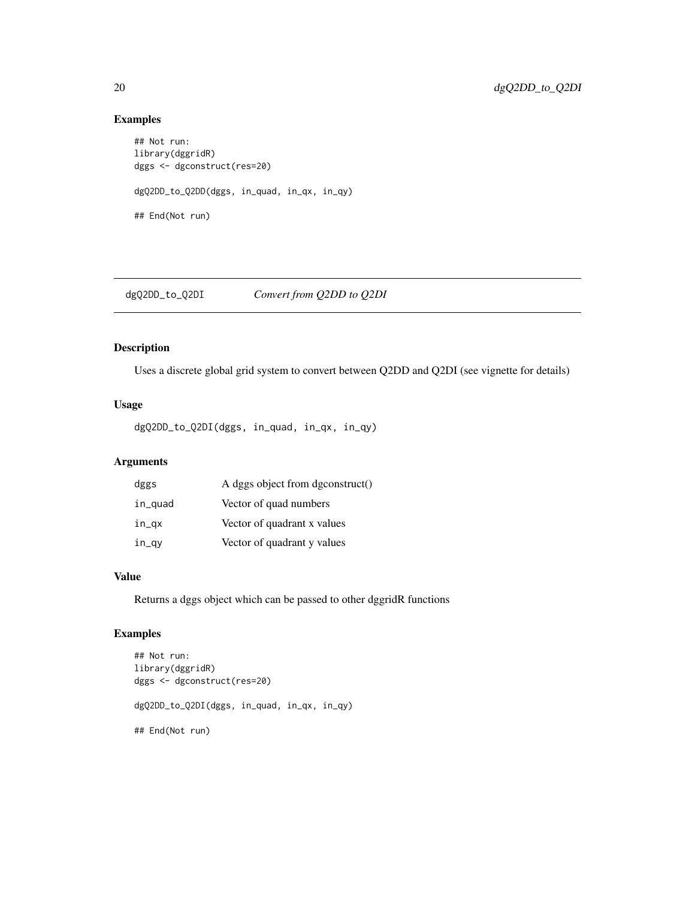#### Examples

```
## Not run:
library(dggridR)
dggs <- dgconstruct(res=20)
dgQ2DD_to_Q2DD(dggs, in_quad, in_qx, in_qy)
## End(Not run)
```
dgQ2DD\_to\_Q2DI *Convert from Q2DD to Q2DI*

# Description

Uses a discrete global grid system to convert between Q2DD and Q2DI (see vignette for details)

# Usage

dgQ2DD\_to\_Q2DI(dggs, in\_quad, in\_qx, in\_qy)

# Arguments

| dggs    | A dggs object from dgconstruct() |
|---------|----------------------------------|
| in_quad | Vector of quad numbers           |
| in_qx   | Vector of quadrant x values      |
| in_qy   | Vector of quadrant y values      |

# Value

Returns a dggs object which can be passed to other dggridR functions

```
## Not run:
library(dggridR)
dggs <- dgconstruct(res=20)
dgQ2DD_to_Q2DI(dggs, in_quad, in_qx, in_qy)
## End(Not run)
```
<span id="page-19-0"></span>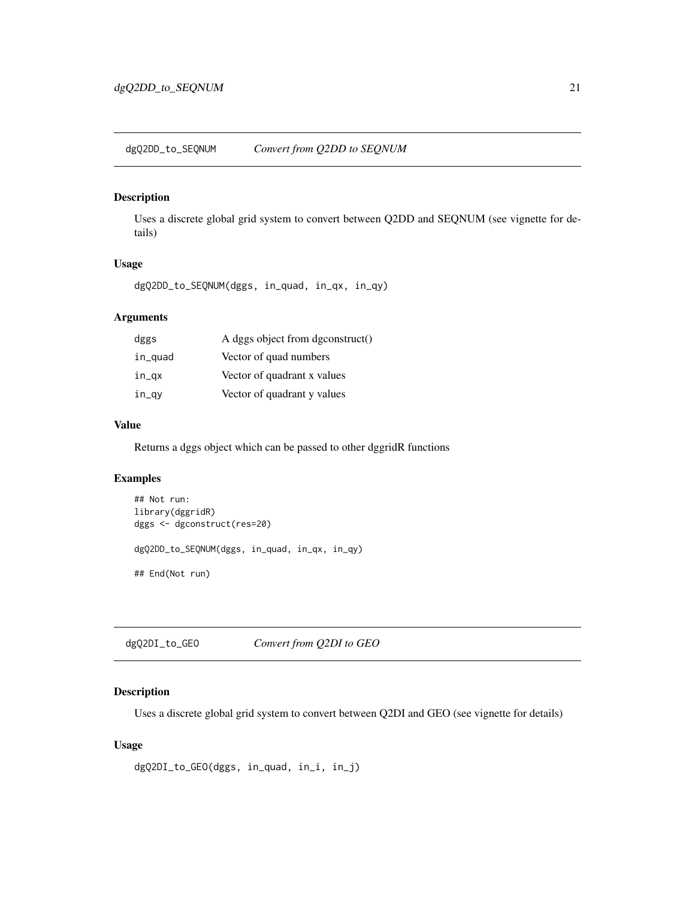<span id="page-20-0"></span>dgQ2DD\_to\_SEQNUM *Convert from Q2DD to SEQNUM*

#### Description

Uses a discrete global grid system to convert between Q2DD and SEQNUM (see vignette for details)

### Usage

dgQ2DD\_to\_SEQNUM(dggs, in\_quad, in\_qx, in\_qy)

# Arguments

| dggs    | A dggs object from dgconstruct() |
|---------|----------------------------------|
| in_quad | Vector of quad numbers           |
| in_qx   | Vector of quadrant x values      |
| in_qy   | Vector of quadrant y values      |

#### Value

Returns a dggs object which can be passed to other dggridR functions

# Examples

```
## Not run:
library(dggridR)
dggs <- dgconstruct(res=20)
dgQ2DD_to_SEQNUM(dggs, in_quad, in_qx, in_qy)
## End(Not run)
```
dgQ2DI\_to\_GEO *Convert from Q2DI to GEO*

# Description

Uses a discrete global grid system to convert between Q2DI and GEO (see vignette for details)

```
dgQ2DI_to_GEO(dggs, in_quad, in_i, in_j)
```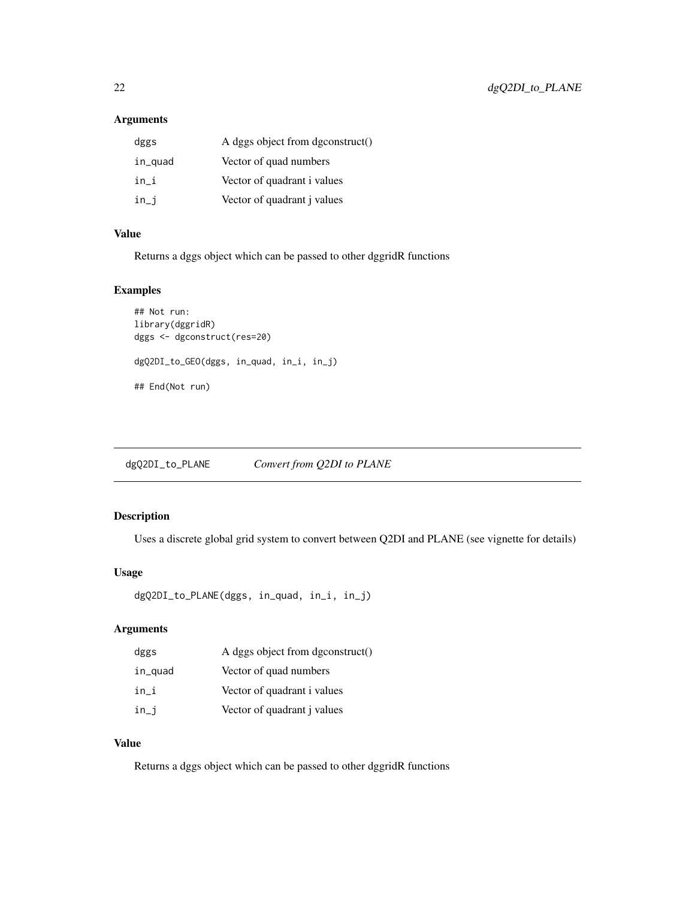<span id="page-21-0"></span>

| dggs    | A dggs object from dgconstruct()   |
|---------|------------------------------------|
| in_quad | Vector of quad numbers             |
| in_i    | Vector of quadrant i values        |
| in_i    | Vector of quadrant <i>i</i> values |

#### Value

Returns a dggs object which can be passed to other dggridR functions

# Examples

```
## Not run:
library(dggridR)
dggs <- dgconstruct(res=20)
dgQ2DI_to_GEO(dggs, in_quad, in_i, in_j)
## End(Not run)
```
dgQ2DI\_to\_PLANE *Convert from Q2DI to PLANE*

# Description

Uses a discrete global grid system to convert between Q2DI and PLANE (see vignette for details)

#### Usage

```
dgQ2DI_to_PLANE(dggs, in_quad, in_i, in_j)
```
#### Arguments

| dggs    | A dggs object from dgconstruct()   |
|---------|------------------------------------|
| in_quad | Vector of quad numbers             |
| in_i    | Vector of quadrant i values        |
| in_j    | Vector of quadrant <i>i</i> values |

# Value

Returns a dggs object which can be passed to other dggridR functions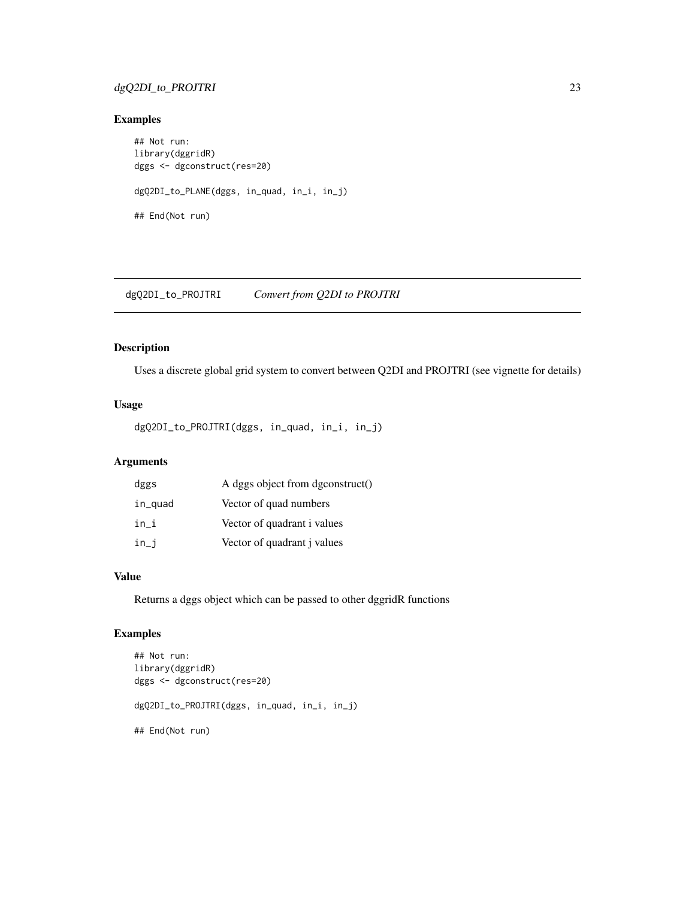# <span id="page-22-0"></span>dgQ2DI\_to\_PROJTRI 23

#### Examples

```
## Not run:
library(dggridR)
dggs <- dgconstruct(res=20)
dgQ2DI_to_PLANE(dggs, in_quad, in_i, in_j)
## End(Not run)
```
dgQ2DI\_to\_PROJTRI *Convert from Q2DI to PROJTRI*

# Description

Uses a discrete global grid system to convert between Q2DI and PROJTRI (see vignette for details)

# Usage

dgQ2DI\_to\_PROJTRI(dggs, in\_quad, in\_i, in\_j)

# Arguments

| dggs    | A dggs object from dgconstruct()   |
|---------|------------------------------------|
| in_quad | Vector of quad numbers             |
| in i    | Vector of quadrant i values        |
| $in_i$  | Vector of quadrant <i>i</i> values |

#### Value

Returns a dggs object which can be passed to other dggridR functions

```
## Not run:
library(dggridR)
dggs <- dgconstruct(res=20)
dgQ2DI_to_PROJTRI(dggs, in_quad, in_i, in_j)
## End(Not run)
```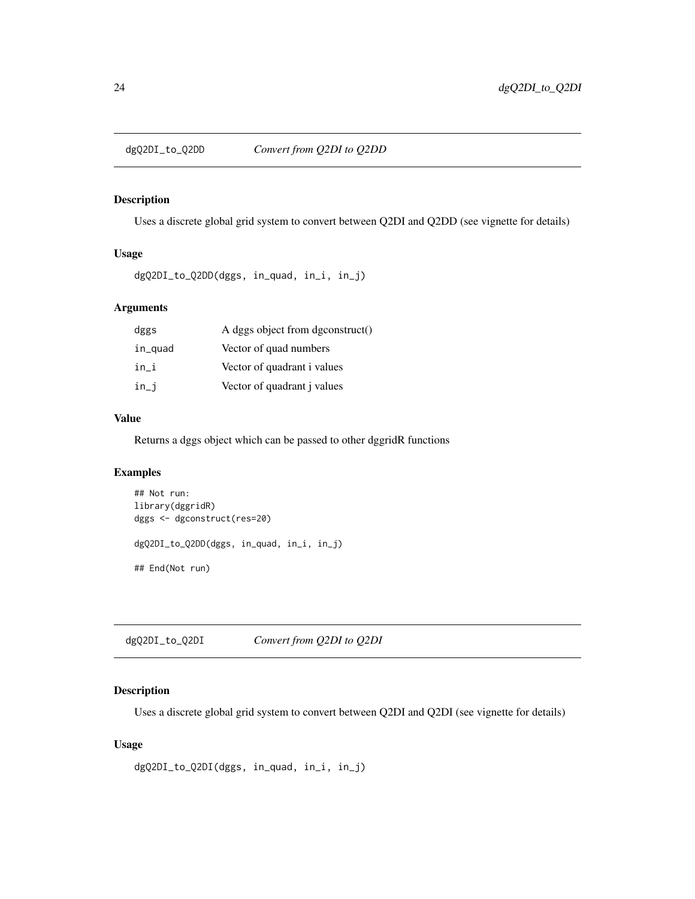<span id="page-23-0"></span>

# Description

Uses a discrete global grid system to convert between Q2DI and Q2DD (see vignette for details)

# Usage

dgQ2DI\_to\_Q2DD(dggs, in\_quad, in\_i, in\_j)

# Arguments

| dggs    | A dggs object from dgconstruct()   |
|---------|------------------------------------|
| in_quad | Vector of quad numbers             |
| in_i    | Vector of quadrant i values        |
| in_j    | Vector of quadrant <i>i</i> values |

# Value

Returns a dggs object which can be passed to other dggridR functions

#### Examples

```
## Not run:
library(dggridR)
dggs <- dgconstruct(res=20)
dgQ2DI_to_Q2DD(dggs, in_quad, in_i, in_j)
## End(Not run)
```
dgQ2DI\_to\_Q2DI *Convert from Q2DI to Q2DI*

#### Description

Uses a discrete global grid system to convert between Q2DI and Q2DI (see vignette for details)

```
dgQ2DI_to_Q2DI(dggs, in_quad, in_i, in_j)
```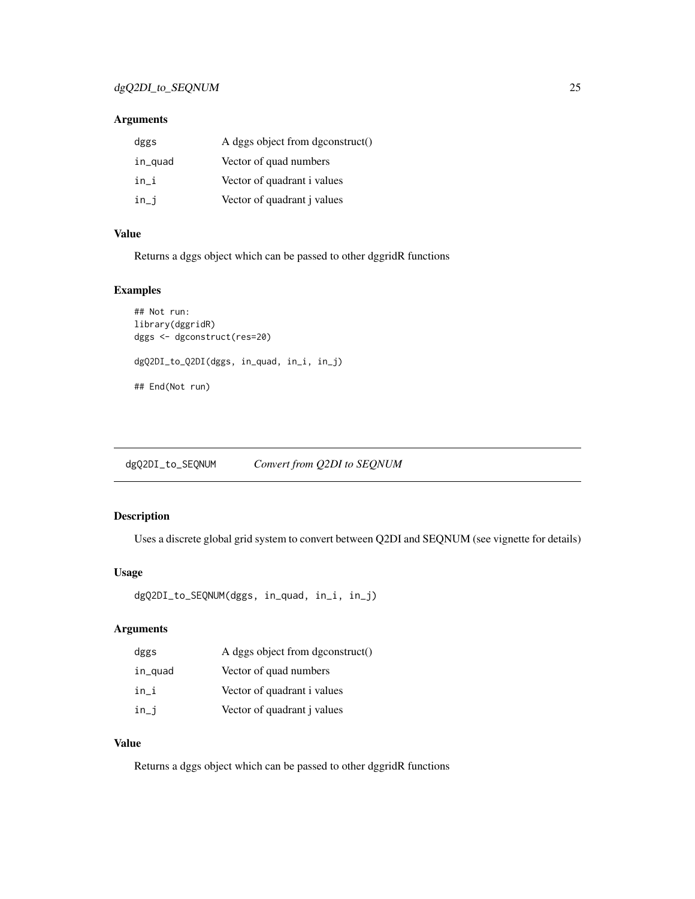<span id="page-24-0"></span>

| dggs    | A dggs object from dgconstruct()   |
|---------|------------------------------------|
| in_quad | Vector of quad numbers             |
| in_i    | Vector of quadrant i values        |
| in_i    | Vector of quadrant <i>i</i> values |

#### Value

Returns a dggs object which can be passed to other dggridR functions

# Examples

```
## Not run:
library(dggridR)
dggs <- dgconstruct(res=20)
dgQ2DI_to_Q2DI(dggs, in_quad, in_i, in_j)
## End(Not run)
```
dgQ2DI\_to\_SEQNUM *Convert from Q2DI to SEQNUM*

# Description

Uses a discrete global grid system to convert between Q2DI and SEQNUM (see vignette for details)

#### Usage

```
dgQ2DI_to_SEQNUM(dggs, in_quad, in_i, in_j)
```
#### Arguments

| dggs    | A dggs object from dgconstruct()   |
|---------|------------------------------------|
| in_quad | Vector of quad numbers             |
| in_i    | Vector of quadrant i values        |
| in_j    | Vector of quadrant <i>i</i> values |

#### Value

Returns a dggs object which can be passed to other dggridR functions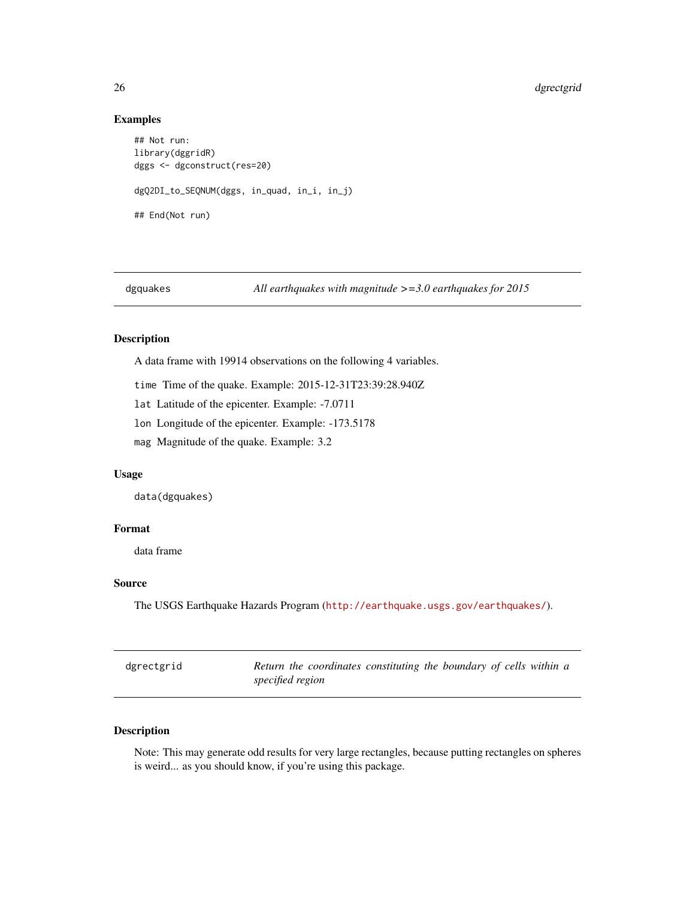#### <span id="page-25-0"></span>Examples

```
## Not run:
library(dggridR)
dggs <- dgconstruct(res=20)
dgQ2DI_to_SEQNUM(dggs, in_quad, in_i, in_j)
## End(Not run)
```
dgquakes *All earthquakes with magnitude >=3.0 earthquakes for 2015*

# Description

A data frame with 19914 observations on the following 4 variables.

time Time of the quake. Example: 2015-12-31T23:39:28.940Z

lat Latitude of the epicenter. Example: -7.0711

lon Longitude of the epicenter. Example: -173.5178

mag Magnitude of the quake. Example: 3.2

# Usage

data(dgquakes)

#### Format

data frame

#### Source

The USGS Earthquake Hazards Program (<http://earthquake.usgs.gov/earthquakes/>).

| dgrectgrid | Return the coordinates constituting the boundary of cells within a |
|------------|--------------------------------------------------------------------|
|            | specified region                                                   |

# Description

Note: This may generate odd results for very large rectangles, because putting rectangles on spheres is weird... as you should know, if you're using this package.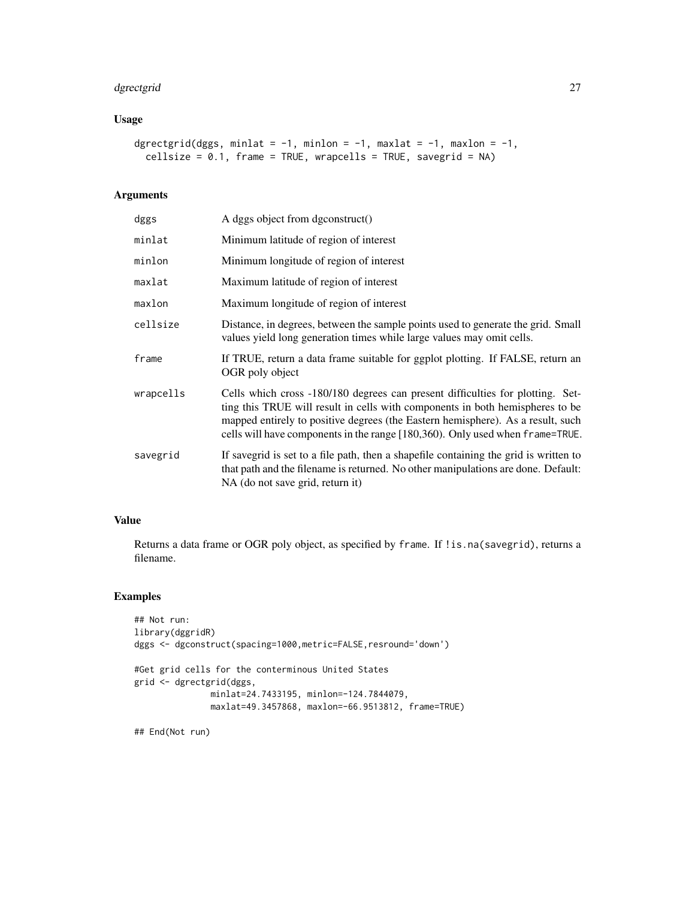# dgrectgrid 27

#### Usage

```
dgrectgrid(dggs, minlat = -1, minlon = -1, maxlat = -1, maxlon = -1,
 cellsize = 0.1, frame = TRUE, wrapcells = TRUE, savegrid = NA)
```
# Arguments

| dggs      | A dggs object from dgconstruct()                                                                                                                                                                                                                                                                                                    |
|-----------|-------------------------------------------------------------------------------------------------------------------------------------------------------------------------------------------------------------------------------------------------------------------------------------------------------------------------------------|
| minlat    | Minimum latitude of region of interest                                                                                                                                                                                                                                                                                              |
| minlon    | Minimum longitude of region of interest                                                                                                                                                                                                                                                                                             |
| maxlat    | Maximum latitude of region of interest                                                                                                                                                                                                                                                                                              |
| maxlon    | Maximum longitude of region of interest                                                                                                                                                                                                                                                                                             |
| cellsize  | Distance, in degrees, between the sample points used to generate the grid. Small<br>values yield long generation times while large values may omit cells.                                                                                                                                                                           |
| frame     | If TRUE, return a data frame suitable for ggplot plotting. If FALSE, return an<br>OGR poly object                                                                                                                                                                                                                                   |
| wrapcells | Cells which cross -180/180 degrees can present difficulties for plotting. Set-<br>ting this TRUE will result in cells with components in both hemispheres to be<br>mapped entirely to positive degrees (the Eastern hemisphere). As a result, such<br>cells will have components in the range [180,360). Only used when frame=TRUE. |
| savegrid  | If savegrid is set to a file path, then a shapefile containing the grid is written to<br>that path and the filename is returned. No other manipulations are done. Default:<br>NA (do not save grid, return it)                                                                                                                      |

#### Value

Returns a data frame or OGR poly object, as specified by frame. If !is.na(savegrid), returns a filename.

# Examples

```
## Not run:
library(dggridR)
dggs <- dgconstruct(spacing=1000,metric=FALSE,resround='down')
#Get grid cells for the conterminous United States
grid <- dgrectgrid(dggs,
              minlat=24.7433195, minlon=-124.7844079,
               maxlat=49.3457868, maxlon=-66.9513812, frame=TRUE)
```
## End(Not run)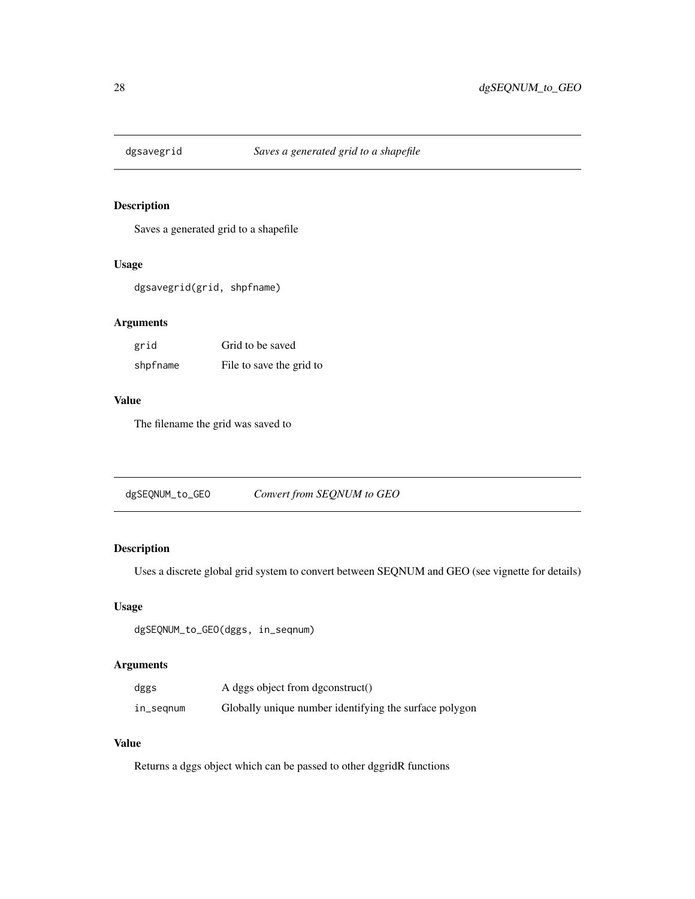<span id="page-27-0"></span>

# Description

Saves a generated grid to a shapefile

# Usage

dgsavegrid(grid, shpfname)

# Arguments

| grid     | Grid to be saved         |
|----------|--------------------------|
| shpfname | File to save the grid to |

# Value

The filename the grid was saved to

| dgSEQNUM_to_GEO |  | Convert from SEQNUM to GEO |  |  |
|-----------------|--|----------------------------|--|--|
|-----------------|--|----------------------------|--|--|

# Description

Uses a discrete global grid system to convert between SEQNUM and GEO (see vignette for details)

# Usage

```
dgSEQNUM_to_GEO(dggs, in_seqnum)
```
# Arguments

| dggs      | A dggs object from dgconstruct()                       |
|-----------|--------------------------------------------------------|
| in_segnum | Globally unique number identifying the surface polygon |

# Value

Returns a dggs object which can be passed to other dggridR functions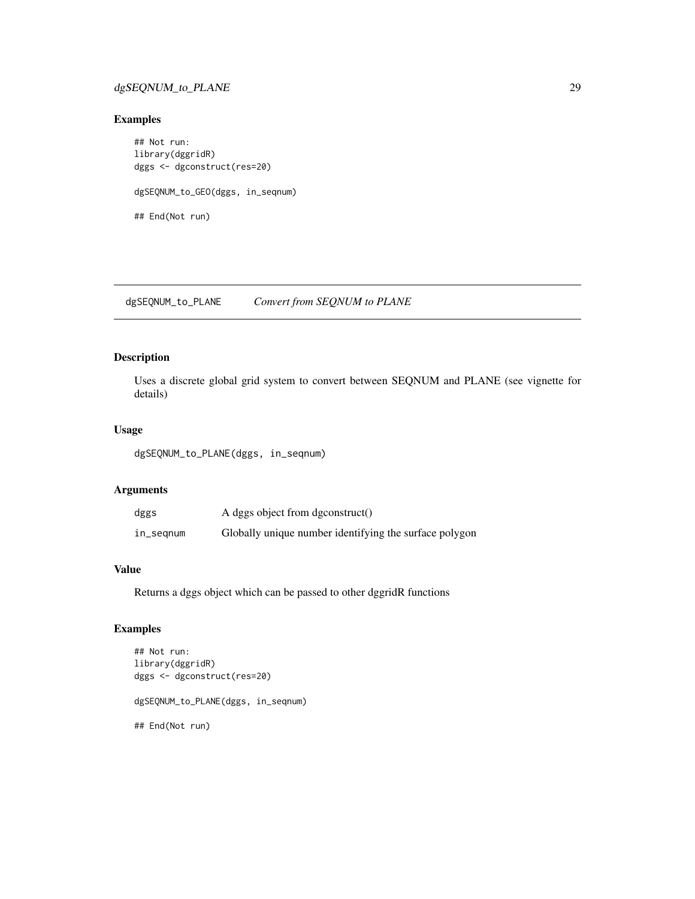# <span id="page-28-0"></span>dgSEQNUM\_to\_PLANE 29

#### Examples

## Not run: library(dggridR) dggs <- dgconstruct(res=20) dgSEQNUM\_to\_GEO(dggs, in\_seqnum) ## End(Not run)

dgSEQNUM\_to\_PLANE *Convert from SEQNUM to PLANE*

# Description

Uses a discrete global grid system to convert between SEQNUM and PLANE (see vignette for details)

#### Usage

dgSEQNUM\_to\_PLANE(dggs, in\_seqnum)

#### Arguments

| dggs      | A dggs object from dgconstruct()                       |
|-----------|--------------------------------------------------------|
| in_seqnum | Globally unique number identifying the surface polygon |

# Value

Returns a dggs object which can be passed to other dggridR functions

```
## Not run:
library(dggridR)
dggs <- dgconstruct(res=20)
dgSEQNUM_to_PLANE(dggs, in_seqnum)
## End(Not run)
```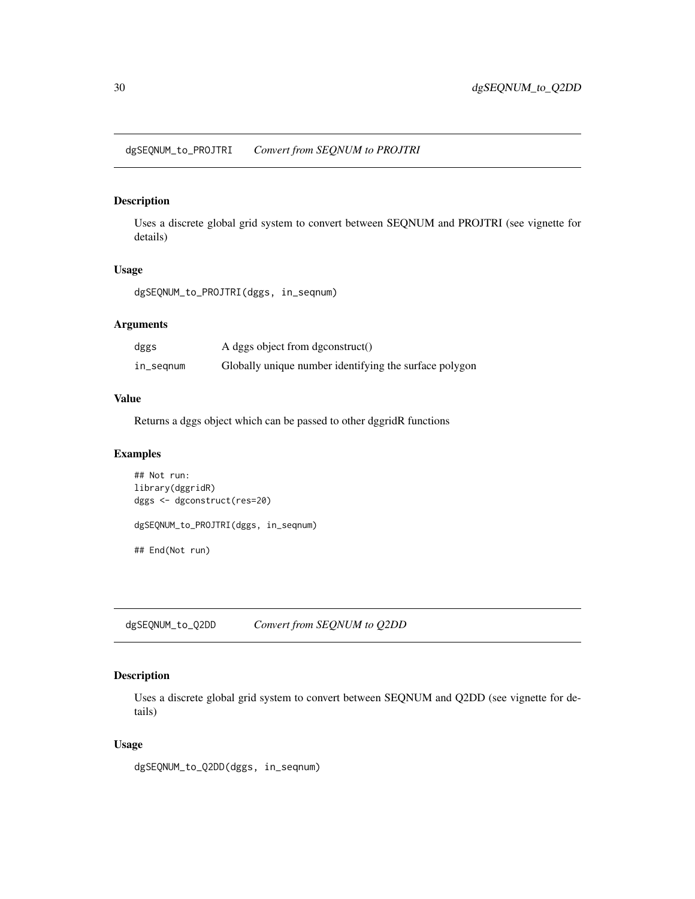# <span id="page-29-0"></span>Description

Uses a discrete global grid system to convert between SEQNUM and PROJTRI (see vignette for details)

#### Usage

dgSEQNUM\_to\_PROJTRI(dggs, in\_seqnum)

#### Arguments

| dggs      | A dggs object from dgconstruct()                       |
|-----------|--------------------------------------------------------|
| in_seqnum | Globally unique number identifying the surface polygon |

#### Value

Returns a dggs object which can be passed to other dggridR functions

#### Examples

```
## Not run:
library(dggridR)
dggs <- dgconstruct(res=20)
dgSEQNUM_to_PROJTRI(dggs, in_seqnum)
## End(Not run)
```
dgSEQNUM\_to\_Q2DD *Convert from SEQNUM to Q2DD*

# Description

Uses a discrete global grid system to convert between SEQNUM and Q2DD (see vignette for details)

#### Usage

dgSEQNUM\_to\_Q2DD(dggs, in\_seqnum)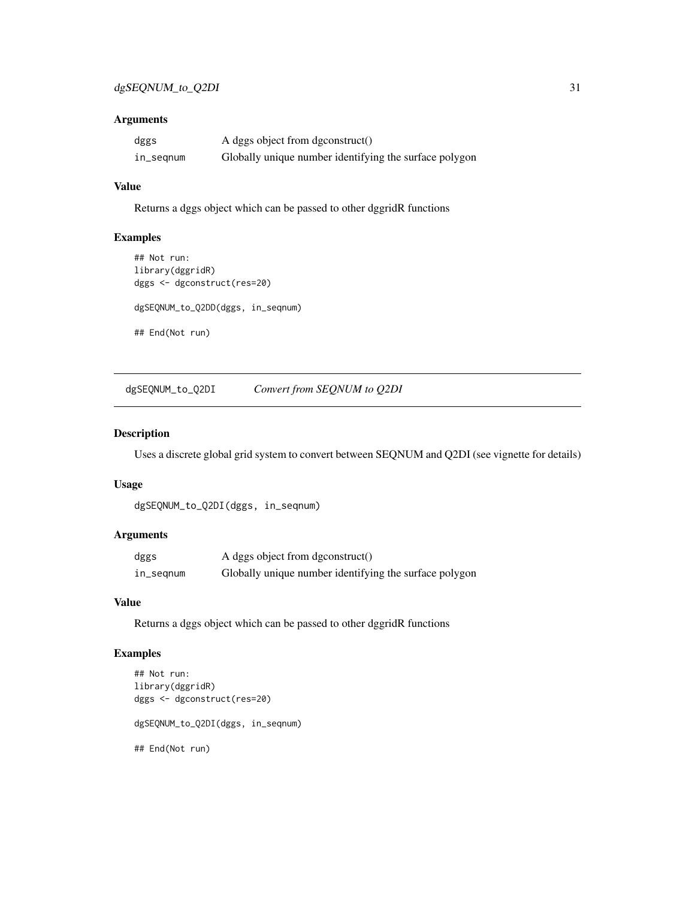<span id="page-30-0"></span>

| dggs      | A dggs object from dgconstruct()                       |
|-----------|--------------------------------------------------------|
| in_segnum | Globally unique number identifying the surface polygon |

# Value

Returns a dggs object which can be passed to other dggridR functions

# Examples

```
## Not run:
library(dggridR)
dggs <- dgconstruct(res=20)
dgSEQNUM_to_Q2DD(dggs, in_seqnum)
## End(Not run)
```
dgSEQNUM\_to\_Q2DI *Convert from SEQNUM to Q2DI*

#### Description

Uses a discrete global grid system to convert between SEQNUM and Q2DI (see vignette for details)

# Usage

dgSEQNUM\_to\_Q2DI(dggs, in\_seqnum)

# Arguments

| dggs      | A dggs object from dgconstruct()                       |
|-----------|--------------------------------------------------------|
| in_segnum | Globally unique number identifying the surface polygon |

#### Value

Returns a dggs object which can be passed to other dggridR functions

```
## Not run:
library(dggridR)
dggs <- dgconstruct(res=20)
dgSEQNUM_to_Q2DI(dggs, in_seqnum)
## End(Not run)
```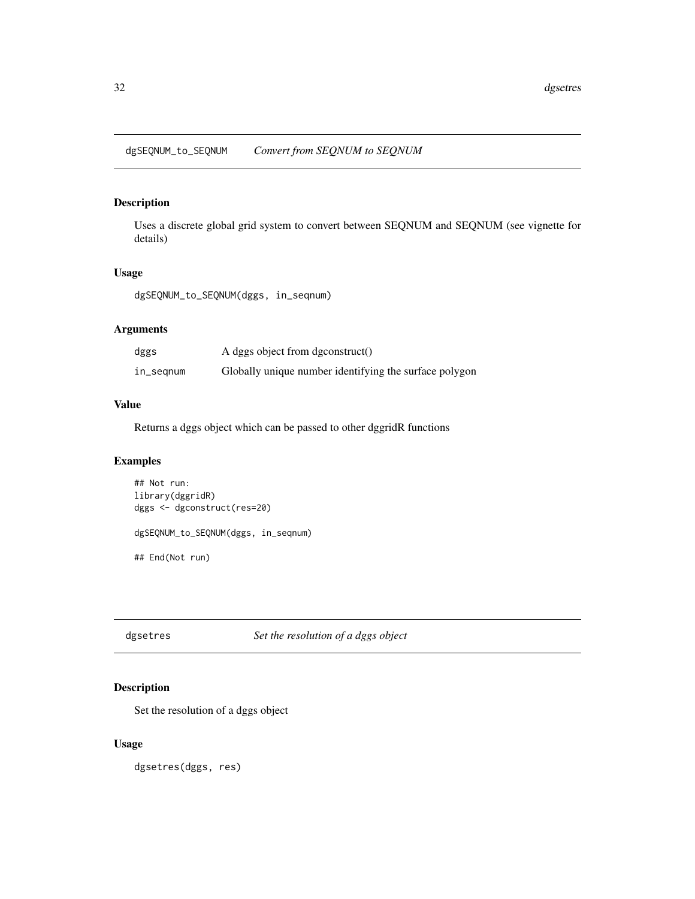<span id="page-31-0"></span>dgSEQNUM\_to\_SEQNUM *Convert from SEQNUM to SEQNUM*

# Description

Uses a discrete global grid system to convert between SEQNUM and SEQNUM (see vignette for details)

#### Usage

dgSEQNUM\_to\_SEQNUM(dggs, in\_seqnum)

#### Arguments

| dggs      | A dggs object from dgconstruct()                       |
|-----------|--------------------------------------------------------|
| in_segnum | Globally unique number identifying the surface polygon |

#### Value

Returns a dggs object which can be passed to other dggridR functions

# Examples

## Not run: library(dggridR) dggs <- dgconstruct(res=20) dgSEQNUM\_to\_SEQNUM(dggs, in\_seqnum)

## End(Not run)

dgsetres *Set the resolution of a dggs object*

# Description

Set the resolution of a dggs object

# Usage

dgsetres(dggs, res)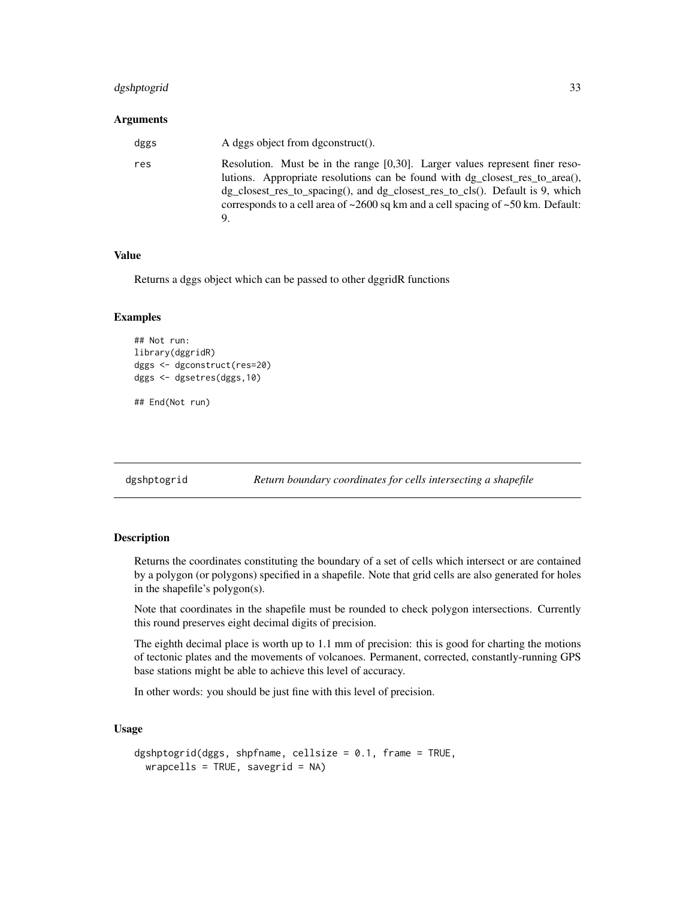# <span id="page-32-0"></span>dgshptogrid 33

#### Arguments

| dggs | A dggs object from dgconstruct().                                                                                                                                                                                                                                                                                                                |
|------|--------------------------------------------------------------------------------------------------------------------------------------------------------------------------------------------------------------------------------------------------------------------------------------------------------------------------------------------------|
| res  | Resolution. Must be in the range $[0,30]$ . Larger values represent finer reso-<br>lutions. Appropriate resolutions can be found with dg closest res to area(),<br>dg_closest_res_to_spacing(), and dg_closest_res_to_cls(). Default is 9, which<br>corresponds to a cell area of $\sim$ 2600 sq km and a cell spacing of $\sim$ 50 km. Default: |

#### Value

Returns a dggs object which can be passed to other dggridR functions

#### Examples

```
## Not run:
library(dggridR)
dggs <- dgconstruct(res=20)
dggs <- dgsetres(dggs,10)
```
## End(Not run)

dgshptogrid *Return boundary coordinates for cells intersecting a shapefile*

#### Description

Returns the coordinates constituting the boundary of a set of cells which intersect or are contained by a polygon (or polygons) specified in a shapefile. Note that grid cells are also generated for holes in the shapefile's polygon(s).

Note that coordinates in the shapefile must be rounded to check polygon intersections. Currently this round preserves eight decimal digits of precision.

The eighth decimal place is worth up to 1.1 mm of precision: this is good for charting the motions of tectonic plates and the movements of volcanoes. Permanent, corrected, constantly-running GPS base stations might be able to achieve this level of accuracy.

In other words: you should be just fine with this level of precision.

```
dgshptogrid(dggs, shpfname, cellsize = 0.1, frame = TRUE,
 wrapcells = TRUE, savegrid = NA)
```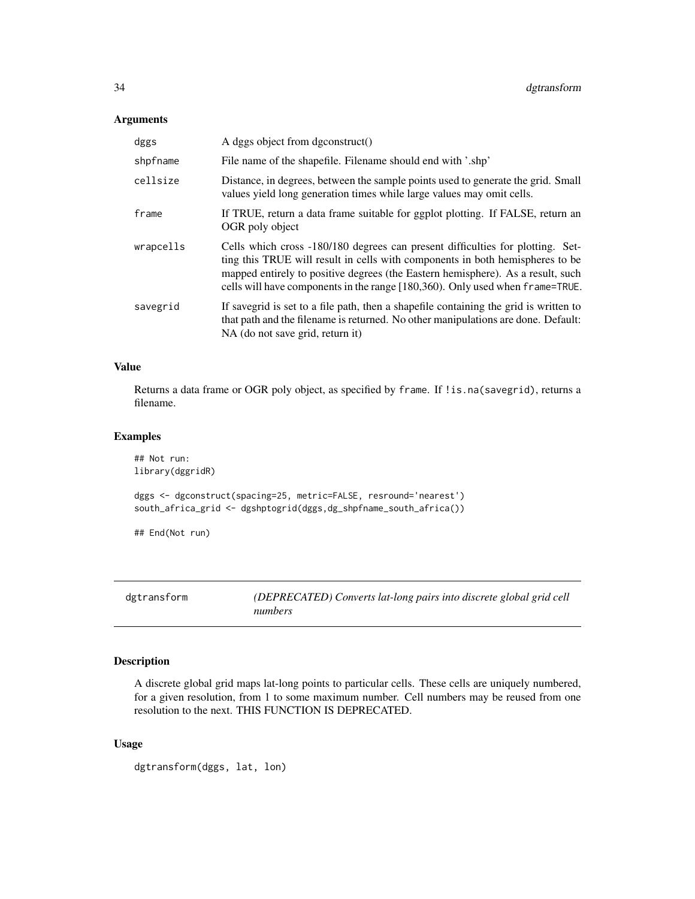<span id="page-33-0"></span>

| dggs      | A dggs object from dgconstruct()                                                                                                                                                                                                                                                                                                    |
|-----------|-------------------------------------------------------------------------------------------------------------------------------------------------------------------------------------------------------------------------------------------------------------------------------------------------------------------------------------|
| shpfname  | File name of the shapefile. Filename should end with '.shp'                                                                                                                                                                                                                                                                         |
| cellsize  | Distance, in degrees, between the sample points used to generate the grid. Small<br>values yield long generation times while large values may omit cells.                                                                                                                                                                           |
| frame     | If TRUE, return a data frame suitable for ggplot plotting. If FALSE, return an<br>OGR poly object                                                                                                                                                                                                                                   |
| wrapcells | Cells which cross -180/180 degrees can present difficulties for plotting. Set-<br>ting this TRUE will result in cells with components in both hemispheres to be<br>mapped entirely to positive degrees (the Eastern hemisphere). As a result, such<br>cells will have components in the range [180,360). Only used when frame=TRUE. |
| savegrid  | If savegrid is set to a file path, then a shapefile containing the grid is written to<br>that path and the filename is returned. No other manipulations are done. Default:<br>NA (do not save grid, return it)                                                                                                                      |

#### Value

Returns a data frame or OGR poly object, as specified by frame. If ! is.na(savegrid), returns a filename.

# Examples

```
## Not run:
library(dggridR)
dggs <- dgconstruct(spacing=25, metric=FALSE, resround='nearest')
south_africa_grid <- dgshptogrid(dggs,dg_shpfname_south_africa())
```
## End(Not run)

dgtransform *(DEPRECATED) Converts lat-long pairs into discrete global grid cell numbers*

# Description

A discrete global grid maps lat-long points to particular cells. These cells are uniquely numbered, for a given resolution, from 1 to some maximum number. Cell numbers may be reused from one resolution to the next. THIS FUNCTION IS DEPRECATED.

```
dgtransform(dggs, lat, lon)
```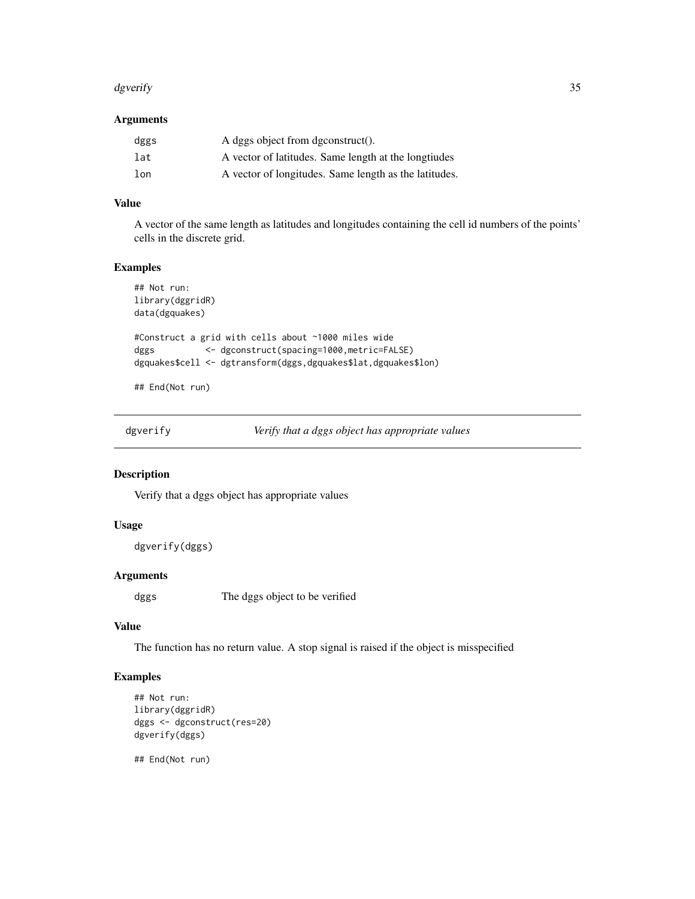#### <span id="page-34-0"></span>dgverify 35

#### Arguments

| dggs | A dggs object from dgconstruct().                     |
|------|-------------------------------------------------------|
| lat  | A vector of latitudes. Same length at the longtiudes  |
| lon  | A vector of longitudes. Same length as the latitudes. |

# Value

A vector of the same length as latitudes and longitudes containing the cell id numbers of the points' cells in the discrete grid.

#### Examples

```
## Not run:
library(dggridR)
data(dgquakes)
#Construct a grid with cells about ~1000 miles wide
dggs <- dgconstruct(spacing=1000,metric=FALSE)
dgquakes$cell <- dgtransform(dggs,dgquakes$lat,dgquakes$lon)
```
## End(Not run)

dgverify *Verify that a dggs object has appropriate values*

#### Description

Verify that a dggs object has appropriate values

## Usage

dgverify(dggs)

#### Arguments

dggs The dggs object to be verified

# Value

The function has no return value. A stop signal is raised if the object is misspecified

#### Examples

```
## Not run:
library(dggridR)
dggs <- dgconstruct(res=20)
dgverify(dggs)
```
## End(Not run)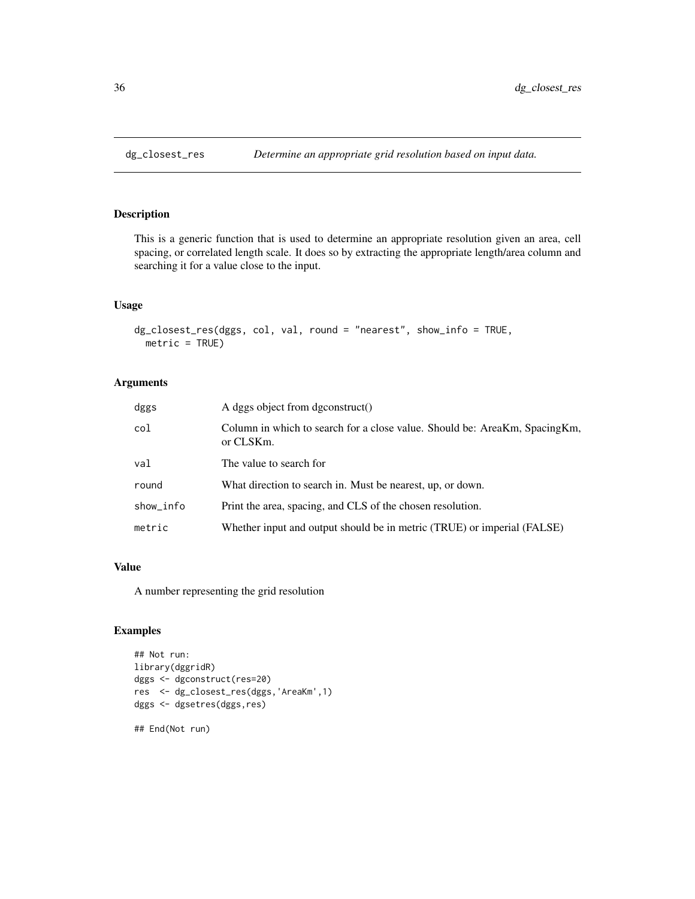<span id="page-35-0"></span>

#### Description

This is a generic function that is used to determine an appropriate resolution given an area, cell spacing, or correlated length scale. It does so by extracting the appropriate length/area column and searching it for a value close to the input.

#### Usage

```
dg_closest_res(dggs, col, val, round = "nearest", show_info = TRUE,
 metric = TRUE)
```
#### Arguments

| dggs      | A dggs object from dgconstruct()                                                        |
|-----------|-----------------------------------------------------------------------------------------|
| col       | Column in which to search for a close value. Should be: AreaKm, SpacingKm,<br>or CLSKm. |
| val       | The value to search for                                                                 |
| round     | What direction to search in. Must be nearest, up, or down.                              |
| show_info | Print the area, spacing, and CLS of the chosen resolution.                              |
| metric    | Whether input and output should be in metric (TRUE) or imperial (FALSE)                 |

#### Value

A number representing the grid resolution

```
## Not run:
library(dggridR)
dggs <- dgconstruct(res=20)
res <- dg_closest_res(dggs,'AreaKm',1)
dggs <- dgsetres(dggs,res)
## End(Not run)
```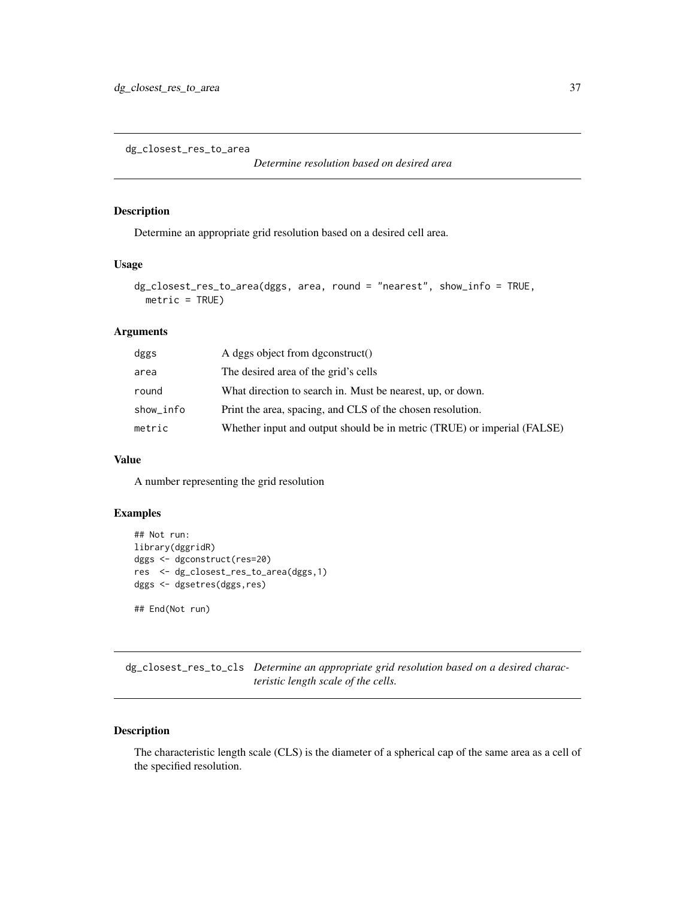<span id="page-36-0"></span>dg\_closest\_res\_to\_area

#### Description

Determine an appropriate grid resolution based on a desired cell area.

### Usage

```
dg_closest_res_to_area(dggs, area, round = "nearest", show_info = TRUE,
 metric = TRUE)
```
# Arguments

| dggs      | A dggs object from dgconstruct()                                        |
|-----------|-------------------------------------------------------------------------|
| area      | The desired area of the grid's cells                                    |
| round     | What direction to search in. Must be nearest, up, or down.              |
| show_info | Print the area, spacing, and CLS of the chosen resolution.              |
| metric    | Whether input and output should be in metric (TRUE) or imperial (FALSE) |

#### Value

A number representing the grid resolution

# Examples

```
## Not run:
library(dggridR)
dggs <- dgconstruct(res=20)
res <- dg_closest_res_to_area(dggs,1)
dggs <- dgsetres(dggs,res)
## End(Not run)
```
dg\_closest\_res\_to\_cls *Determine an appropriate grid resolution based on a desired characteristic length scale of the cells.*

#### Description

The characteristic length scale (CLS) is the diameter of a spherical cap of the same area as a cell of the specified resolution.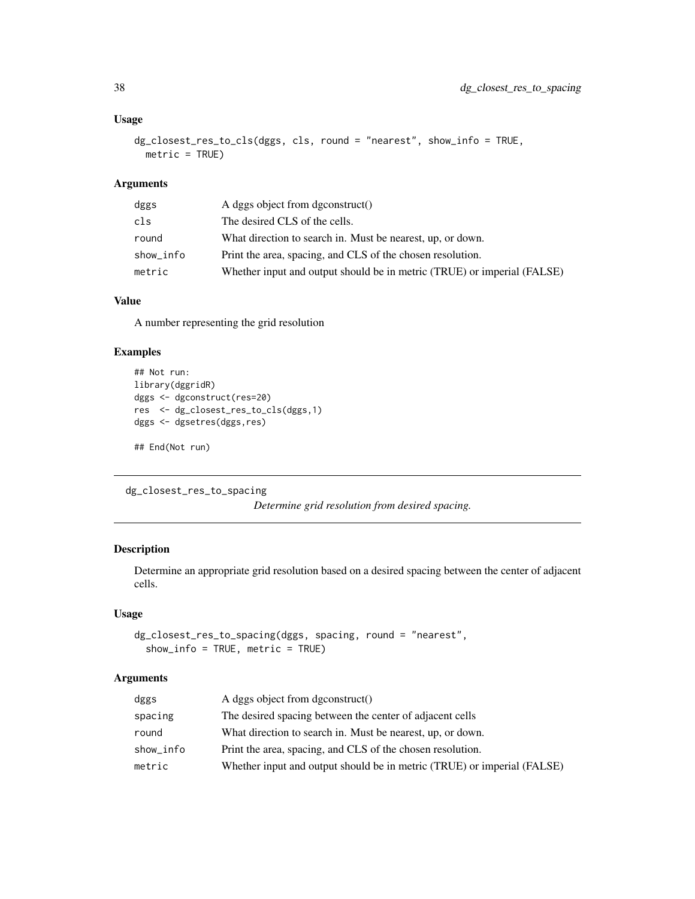#### Usage

```
dg_closest_res_to_cls(dggs, cls, round = "nearest", show_info = TRUE,
 metric = TRUE)
```
#### Arguments

| dggs      | A dggs object from dgconstruct()                                        |
|-----------|-------------------------------------------------------------------------|
| cls       | The desired CLS of the cells.                                           |
| round     | What direction to search in. Must be nearest, up, or down.              |
| show_info | Print the area, spacing, and CLS of the chosen resolution.              |
| metric    | Whether input and output should be in metric (TRUE) or imperial (FALSE) |

# Value

A number representing the grid resolution

# Examples

```
## Not run:
library(dggridR)
dggs <- dgconstruct(res=20)
res <- dg_closest_res_to_cls(dggs,1)
dggs <- dgsetres(dggs,res)
## End(Not run)
```
dg\_closest\_res\_to\_spacing

*Determine grid resolution from desired spacing.*

# Description

Determine an appropriate grid resolution based on a desired spacing between the center of adjacent cells.

#### Usage

dg\_closest\_res\_to\_spacing(dggs, spacing, round = "nearest", show\_info = TRUE, metric = TRUE)

# Arguments

| The desired spacing between the center of adjacent cells<br>spacing<br>What direction to search in. Must be nearest, up, or down.<br>round<br>Print the area, spacing, and CLS of the chosen resolution.<br>show_info | dggs | A dggs object from dgconstruct()                                        |
|-----------------------------------------------------------------------------------------------------------------------------------------------------------------------------------------------------------------------|------|-------------------------------------------------------------------------|
|                                                                                                                                                                                                                       |      |                                                                         |
|                                                                                                                                                                                                                       |      |                                                                         |
|                                                                                                                                                                                                                       |      |                                                                         |
| metric                                                                                                                                                                                                                |      | Whether input and output should be in metric (TRUE) or imperial (FALSE) |

<span id="page-37-0"></span>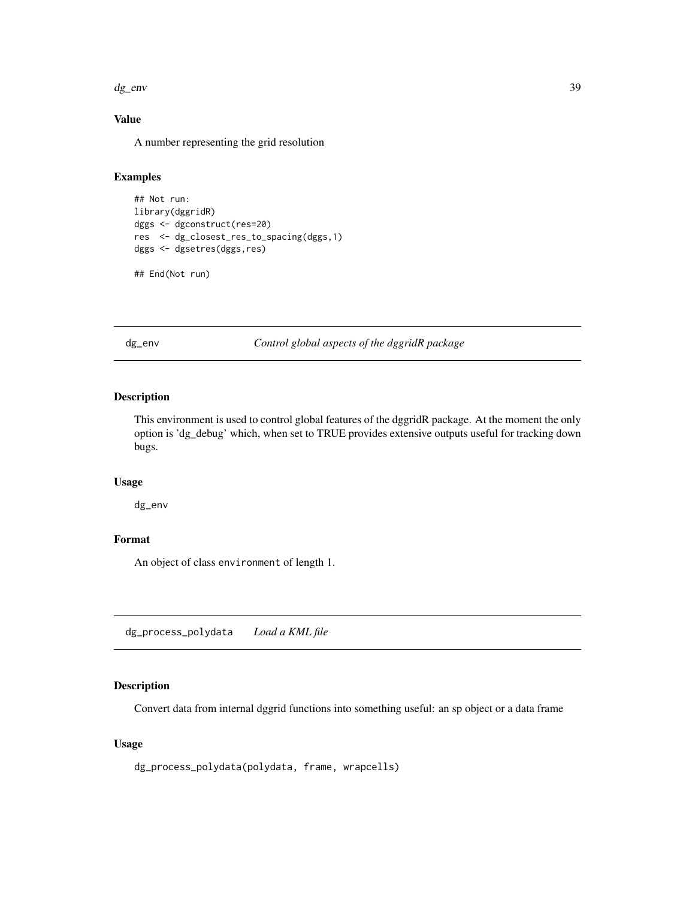#### <span id="page-38-0"></span>dg\_env 39

# Value

A number representing the grid resolution

#### Examples

```
## Not run:
library(dggridR)
dggs <- dgconstruct(res=20)
res <- dg_closest_res_to_spacing(dggs,1)
dggs <- dgsetres(dggs,res)
```

```
## End(Not run)
```
dg\_env *Control global aspects of the dggridR package*

#### Description

This environment is used to control global features of the dggridR package. At the moment the only option is 'dg\_debug' which, when set to TRUE provides extensive outputs useful for tracking down bugs.

# Usage

dg\_env

# Format

An object of class environment of length 1.

dg\_process\_polydata *Load a KML file*

#### Description

Convert data from internal dggrid functions into something useful: an sp object or a data frame

```
dg_process_polydata(polydata, frame, wrapcells)
```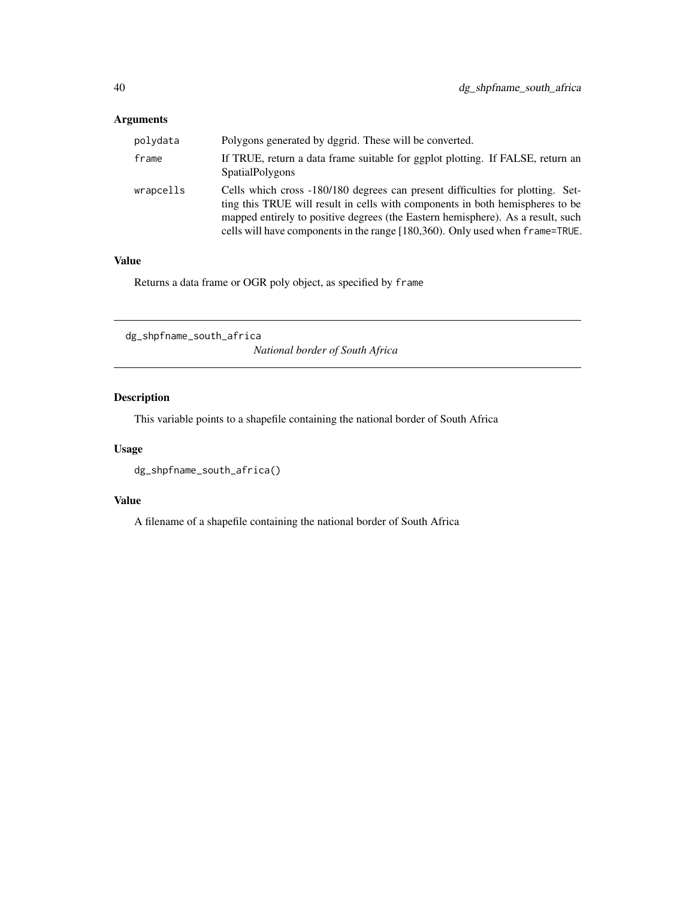<span id="page-39-0"></span>

| polydata  | Polygons generated by dggrid. These will be converted.                                                                                                                                                                                                                                                                              |
|-----------|-------------------------------------------------------------------------------------------------------------------------------------------------------------------------------------------------------------------------------------------------------------------------------------------------------------------------------------|
| frame     | If TRUE, return a data frame suitable for ggplot plotting. If FALSE, return an<br><b>SpatialPolygons</b>                                                                                                                                                                                                                            |
| wrapcells | Cells which cross -180/180 degrees can present difficulties for plotting. Set-<br>ting this TRUE will result in cells with components in both hemispheres to be<br>mapped entirely to positive degrees (the Eastern hemisphere). As a result, such<br>cells will have components in the range [180,360). Only used when frame=TRUE. |

#### Value

Returns a data frame or OGR poly object, as specified by frame

dg\_shpfname\_south\_africa *National border of South Africa*

# Description

This variable points to a shapefile containing the national border of South Africa

# Usage

```
dg_shpfname_south_africa()
```
# Value

A filename of a shapefile containing the national border of South Africa